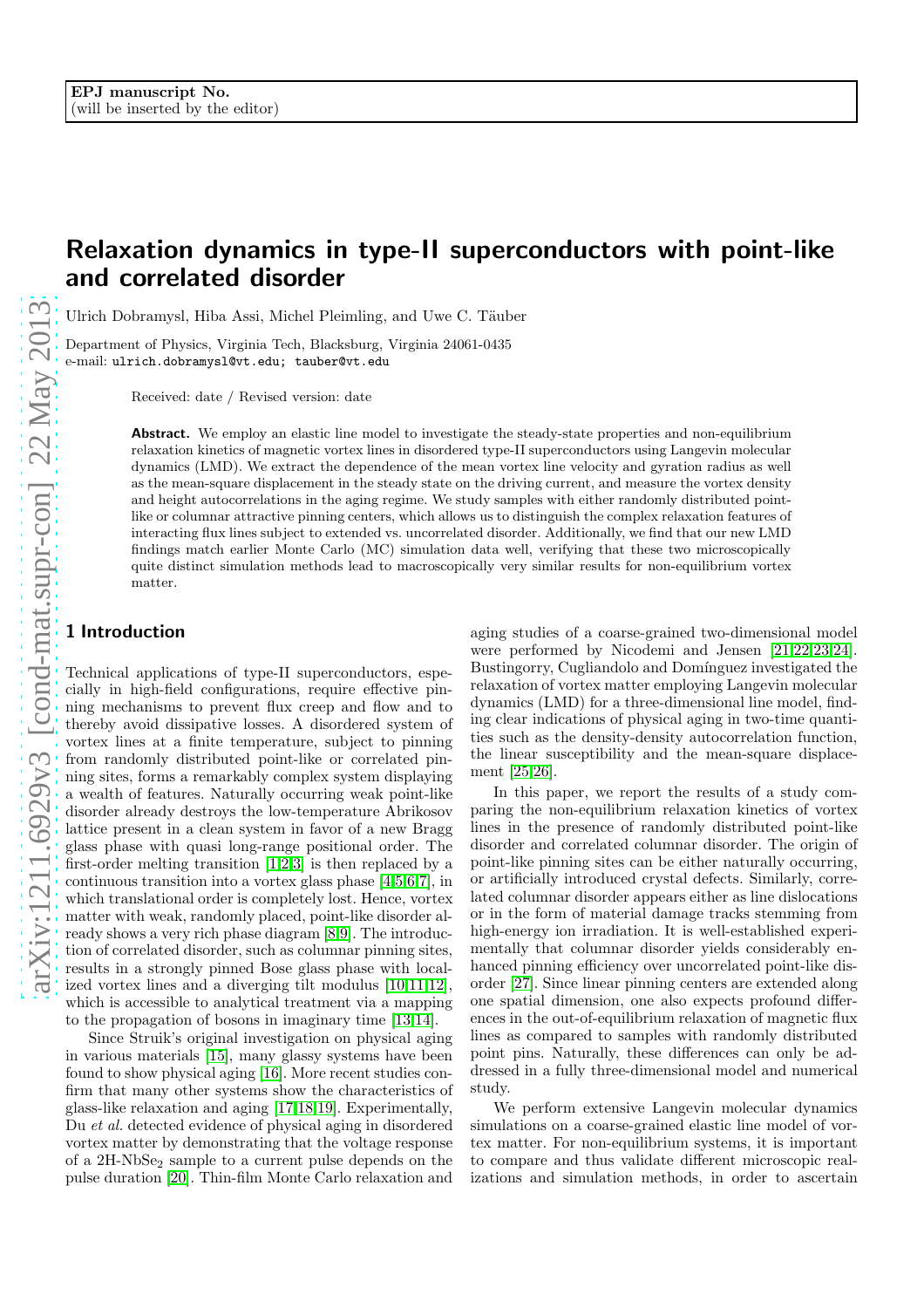# Relaxation dynamics in type-II superconductors with point-like and correlated disorder

Ulrich Dobramysl, Hiba Assi, Michel Pleimling, and Uwe C. Täuber

Department of Physics, Virginia Tech, Blacksburg, Virginia 24061-0435 e-mail: ulrich.dobramysl@vt.edu; tauber@vt.edu

Received: date / Revised version: date

Abstract. We employ an elastic line model to investigate the steady-state properties and non-equilibrium relaxation kinetics of magnetic vortex lines in disordered type-II superconductors using Langevin molecular dynamics (LMD). We extract the dependence of the mean vortex line velocity and gyration radius as well as the mean-square displacement in the steady state on the driving current, and measure the vortex density and height autocorrelations in the aging regime. We study samples with either randomly distributed pointlike or columnar attractive pinning centers, which allows us to distinguish the complex relaxation features of interacting flux lines subject to extended vs. uncorrelated disorder. Additionally, we find that our new LMD findings match earlier Monte Carlo (MC) simulation data well, verifying that these two microscopically quite distinct simulation methods lead to macroscopically very similar results for non-equilibrium vortex matter.

## 1 Introduction

Technical applications of type-II superconductors, especially in high-field configurations, require effective pinning mechanisms to prevent flux creep and flow and to thereby avoid dissipative losses. A disordered system of vortex lines at a finite temperature, subject to pinning from randomly distributed point-like or correlated pinning sites, forms a remarkably complex system displaying a wealth of features. Naturally occurring weak point-like disorder already destroys the low-temperature Abrikosov lattice present in a clean system in favor of a new Bragg glass phase with quasi long-range positional order. The first-order melting transition [\[1](#page-14-0)[,2,](#page-14-1)[3\]](#page-14-2) is then replaced by a continuous transition into a vortex glass phase [\[4,](#page-14-3)[5](#page-14-4)[,6](#page-14-5)[,7\]](#page-14-6), in which translational order is completely lost. Hence, vortex matter with weak, randomly placed, point-like disorder already shows a very rich phase diagram [\[8](#page-14-7)[,9\]](#page-14-8). The introduction of correlated disorder, such as columnar pinning sites, results in a strongly pinned Bose glass phase with localized vortex lines and a diverging tilt modulus [\[10,](#page-14-9)[11](#page-14-10)[,12\]](#page-14-11), which is accessible to analytical treatment via a mapping to the propagation of bosons in imaginary time [\[13](#page-14-12)[,14\]](#page-14-13).

Since Struik's original investigation on physical aging in various materials [\[15\]](#page-14-14), many glassy systems have been found to show physical aging [\[16\]](#page-14-15). More recent studies confirm that many other systems show the characteristics of glass-like relaxation and aging [\[17,](#page-14-16)[18,](#page-14-17)[19\]](#page-14-18). Experimentally, Du et al. detected evidence of physical aging in disordered vortex matter by demonstrating that the voltage response of a  $2H\text{-}NbSe_2$  sample to a current pulse depends on the pulse duration [\[20\]](#page-14-19). Thin-film Monte Carlo relaxation and

aging studies of a coarse-grained two-dimensional model were performed by Nicodemi and Jensen [\[21](#page-14-20)[,22](#page-14-21)[,23,](#page-14-22)[24\]](#page-14-23). Bustingorry, Cugliandolo and Domínguez investigated the relaxation of vortex matter employing Langevin molecular dynamics (LMD) for a three-dimensional line model, finding clear indications of physical aging in two-time quantities such as the density-density autocorrelation function, the linear susceptibility and the mean-square displacement [\[25](#page-14-24)[,26\]](#page-14-25).

In this paper, we report the results of a study comparing the non-equilibrium relaxation kinetics of vortex lines in the presence of randomly distributed point-like disorder and correlated columnar disorder. The origin of point-like pinning sites can be either naturally occurring, or artificially introduced crystal defects. Similarly, correlated columnar disorder appears either as line dislocations or in the form of material damage tracks stemming from high-energy ion irradiation. It is well-established experimentally that columnar disorder yields considerably enhanced pinning efficiency over uncorrelated point-like disorder [\[27\]](#page-14-26). Since linear pinning centers are extended along one spatial dimension, one also expects profound differences in the out-of-equilibrium relaxation of magnetic flux lines as compared to samples with randomly distributed point pins. Naturally, these differences can only be addressed in a fully three-dimensional model and numerical study.

We perform extensive Langevin molecular dynamics simulations on a coarse-grained elastic line model of vortex matter. For non-equilibrium systems, it is important to compare and thus validate different microscopic realizations and simulation methods, in order to ascertain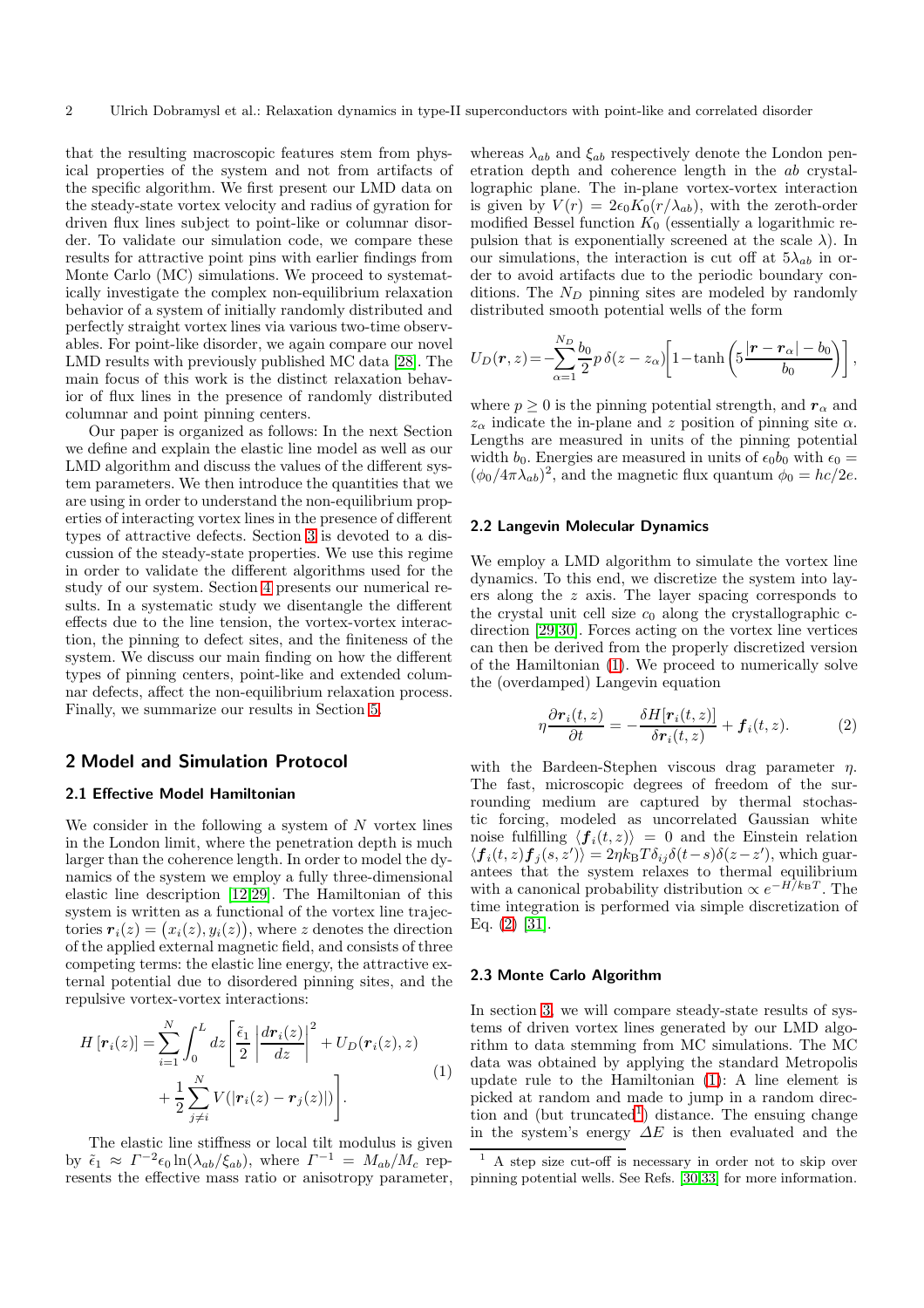that the resulting macroscopic features stem from physical properties of the system and not from artifacts of the specific algorithm. We first present our LMD data on the steady-state vortex velocity and radius of gyration for driven flux lines subject to point-like or columnar disorder. To validate our simulation code, we compare these results for attractive point pins with earlier findings from Monte Carlo (MC) simulations. We proceed to systematically investigate the complex non-equilibrium relaxation behavior of a system of initially randomly distributed and perfectly straight vortex lines via various two-time observables. For point-like disorder, we again compare our novel LMD results with previously published MC data [\[28\]](#page-14-27). The main focus of this work is the distinct relaxation behavior of flux lines in the presence of randomly distributed columnar and point pinning centers.

Our paper is organized as follows: In the next Section we define and explain the elastic line model as well as our LMD algorithm and discuss the values of the different system parameters. We then introduce the quantities that we are using in order to understand the non-equilibrium properties of interacting vortex lines in the presence of different types of attractive defects. Section [3](#page-3-0) is devoted to a discussion of the steady-state properties. We use this regime in order to validate the different algorithms used for the study of our system. Section [4](#page-4-0) presents our numerical results. In a systematic study we disentangle the different effects due to the line tension, the vortex-vortex interaction, the pinning to defect sites, and the finiteness of the system. We discuss our main finding on how the different types of pinning centers, point-like and extended columnar defects, affect the non-equilibrium relaxation process. Finally, we summarize our results in Section [5.](#page-13-0)

## 2 Model and Simulation Protocol

# 2.1 Effective Model Hamiltonian

We consider in the following a system of  $N$  vortex lines in the London limit, where the penetration depth is much larger than the coherence length. In order to model the dynamics of the system we employ a fully three-dimensional elastic line description [\[12](#page-14-11)[,29\]](#page-14-28). The Hamiltonian of this system is written as a functional of the vortex line trajectories  $\boldsymbol{r}_i(z) = (x_i(z), y_i(z)),$  where z denotes the direction of the applied external magnetic field, and consists of three competing terms: the elastic line energy, the attractive external potential due to disordered pinning sites, and the repulsive vortex-vortex interactions:

<span id="page-1-0"></span>
$$
H\left[\mathbf{r}_i(z)\right] = \sum_{i=1}^N \int_0^L dz \left[\frac{\tilde{\epsilon}_1}{2} \left| \frac{d\mathbf{r}_i(z)}{dz} \right|^2 + U_D(\mathbf{r}_i(z), z) + \frac{1}{2} \sum_{j \neq i}^N V(|\mathbf{r}_i(z) - \mathbf{r}_j(z)|)\right].
$$
\n(1)

The elastic line stiffness or local tilt modulus is given by  $\tilde{\epsilon}_1 \approx \Gamma^{-2} \epsilon_0 \ln(\lambda_{ab}/\xi_{ab})$ , where  $\Gamma^{-1} = M_{ab}/M_c$  represents the effective mass ratio or anisotropy parameter, whereas  $\lambda_{ab}$  and  $\xi_{ab}$  respectively denote the London penetration depth and coherence length in the ab crystallographic plane. The in-plane vortex-vortex interaction is given by  $V(r) = 2\epsilon_0 K_0(r/\lambda_{ab})$ , with the zeroth-order modified Bessel function  $K_0$  (essentially a logarithmic repulsion that is exponentially screened at the scale  $\lambda$ ). In our simulations, the interaction is cut off at  $5\lambda_{ab}$  in order to avoid artifacts due to the periodic boundary conditions. The  $N_D$  pinning sites are modeled by randomly distributed smooth potential wells of the form

$$
U_D(\boldsymbol{r},z) = -\sum_{\alpha=1}^{N_D} \frac{b_0}{2} p \,\delta(z-z_\alpha) \bigg[ 1 - \tanh\left(5\frac{|\boldsymbol{r}-\boldsymbol{r}_\alpha|-b_0}{b_0}\right) \bigg] \,,
$$

where  $p \geq 0$  is the pinning potential strength, and  $r_{\alpha}$  and  $z_\alpha$  indicate the in-plane and z position of pinning site  $\alpha$ . Lengths are measured in units of the pinning potential width  $b_0$ . Energies are measured in units of  $\epsilon_0 b_0$  with  $\epsilon_0 =$  $(\phi_0/4\pi\lambda_{ab})^2$ , and the magnetic flux quantum  $\phi_0 = hc/2e$ .

#### <span id="page-1-3"></span>2.2 Langevin Molecular Dynamics

We employ a LMD algorithm to simulate the vortex line dynamics. To this end, we discretize the system into layers along the z axis. The layer spacing corresponds to the crystal unit cell size  $c_0$  along the crystallographic cdirection [\[29,](#page-14-28)[30\]](#page-14-29). Forces acting on the vortex line vertices can then be derived from the properly discretized version of the Hamiltonian [\(1\)](#page-1-0). We proceed to numerically solve the (overdamped) Langevin equation

<span id="page-1-1"></span>
$$
\eta \frac{\partial \boldsymbol{r}_i(t,z)}{\partial t} = -\frac{\delta H[\boldsymbol{r}_i(t,z)]}{\delta \boldsymbol{r}_i(t,z)} + \boldsymbol{f}_i(t,z). \tag{2}
$$

with the Bardeen-Stephen viscous drag parameter  $\eta$ . The fast, microscopic degrees of freedom of the surrounding medium are captured by thermal stochastic forcing, modeled as uncorrelated Gaussian white noise fulfilling  $\langle \mathbf{f}_i(t, z) \rangle = 0$  and the Einstein relation  $\langle \mathbf{f}_i(t,z) \mathbf{f}_j(s,z') \rangle = 2\eta k_\text{B} T \delta_{ij} \delta(t-s) \delta(z-z'),$  which guarantees that the system relaxes to thermal equilibrium with a canonical probability distribution  $\propto e^{-H/k_BT}$ . The time integration is performed via simple discretization of Eq. [\(2\)](#page-1-1) [\[31\]](#page-14-30).

#### 2.3 Monte Carlo Algorithm

In section [3,](#page-3-0) we will compare steady-state results of systems of driven vortex lines generated by our LMD algorithm to data stemming from MC simulations. The MC data was obtained by applying the standard Metropolis update rule to the Hamiltonian [\(1\)](#page-1-0): A line element is picked at random and made to jump in a random direc-tion and (but truncated<sup>[1](#page-1-2)</sup>) distance. The ensuing change in the system's energy  $\Delta E$  is then evaluated and the

<span id="page-1-2"></span><sup>1</sup> A step size cut-off is necessary in order not to skip over pinning potential wells. See Refs. [\[30](#page-14-29)[,33\]](#page-14-31) for more information.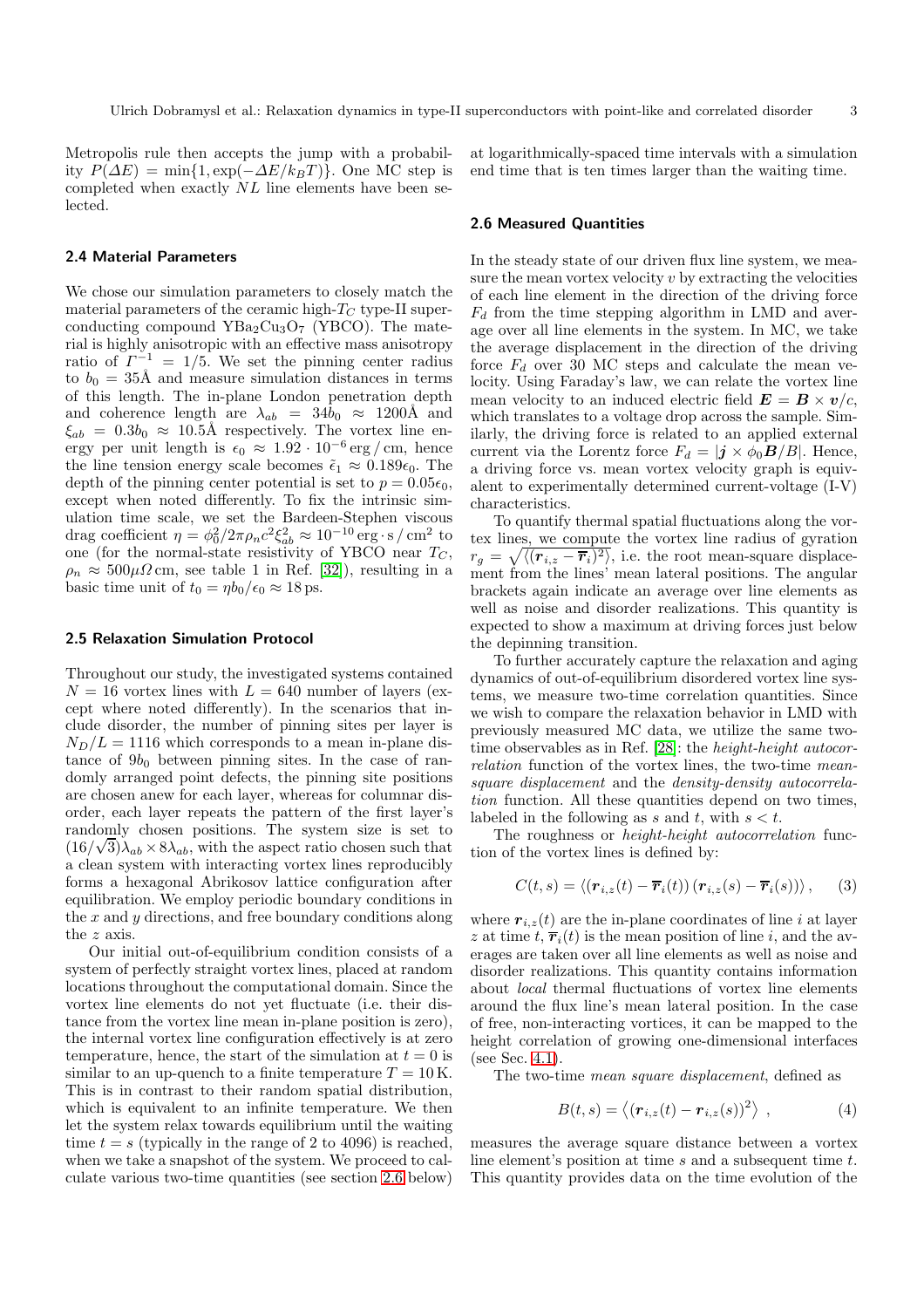Metropolis rule then accepts the jump with a probability  $P(\Delta E) = \min\{1, \exp(-\Delta E / k_B T)\}\.$  One MC step is completed when exactly NL line elements have been selected.

### 2.4 Material Parameters

We chose our simulation parameters to closely match the material parameters of the ceramic high- $T_{\rm C}$  type-II superconducting compound  $YBa<sub>2</sub>Cu<sub>3</sub>O<sub>7</sub>$  (YBCO). The material is highly anisotropic with an effective mass anisotropy ratio of  $\Gamma^{-1} = 1/5$ . We set the pinning center radius to  $b_0 = 35\text{\AA}$  and measure simulation distances in terms of this length. The in-plane London penetration depth and coherence length are  $\lambda_{ab} = 34b_0 \approx 1200\text{\AA}$  and  $\xi_{ab} = 0.3b_0 \approx 10.5\text{\AA}$  respectively. The vortex line energy per unit length is  $\epsilon_0 \approx 1.92 \cdot 10^{-6} \text{ erg/cm}$ , hence the line tension energy scale becomes  $\tilde{\epsilon}_1 \approx 0.189\epsilon_0$ . The depth of the pinning center potential is set to  $p = 0.05\epsilon_0$ , except when noted differently. To fix the intrinsic simulation time scale, we set the Bardeen-Stephen viscous drag coefficient  $\eta = \phi_0^2/2\pi\rho_n c^2 \xi_{ab}^2 \approx 10^{-10} \text{ erg} \cdot \text{s} / \text{cm}^2$  to one (for the normal-state resistivity of YBCO near  $T_C$ ,  $\rho_n \approx 500 \mu \Omega \text{ cm}$ , see table 1 in Ref. [\[32\]](#page-14-32)), resulting in a basic time unit of  $t_0 = \eta b_0 / \epsilon_0 \approx 18 \,\text{ps}.$ 

#### 2.5 Relaxation Simulation Protocol

Throughout our study, the investigated systems contained  $N = 16$  vortex lines with  $L = 640$  number of layers (except where noted differently). In the scenarios that include disorder, the number of pinning sites per layer is  $N_D/L = 1116$  which corresponds to a mean in-plane distance of  $9b<sub>0</sub>$  between pinning sites. In the case of randomly arranged point defects, the pinning site positions are chosen anew for each layer, whereas for columnar disorder, each layer repeats the pattern of the first layer's randomly chosen positions. The system size is set to ( $16/\sqrt{3}$ ) $\lambda_{ab} \times 8\lambda_{ab}$ , with the aspect ratio chosen such that a clean system with interacting vortex lines reproducibly forms a hexagonal Abrikosov lattice configuration after equilibration. We employ periodic boundary conditions in the  $x$  and  $y$  directions, and free boundary conditions along the z axis.

Our initial out-of-equilibrium condition consists of a system of perfectly straight vortex lines, placed at random locations throughout the computational domain. Since the vortex line elements do not yet fluctuate (i.e. their distance from the vortex line mean in-plane position is zero), the internal vortex line configuration effectively is at zero temperature, hence, the start of the simulation at  $t = 0$  is similar to an up-quench to a finite temperature  $T = 10$  K. This is in contrast to their random spatial distribution, which is equivalent to an infinite temperature. We then let the system relax towards equilibrium until the waiting time  $t = s$  (typically in the range of 2 to 4096) is reached, when we take a snapshot of the system. We proceed to calculate various two-time quantities (see section [2.6](#page-2-0) below)

at logarithmically-spaced time intervals with a simulation end time that is ten times larger than the waiting time.

#### <span id="page-2-0"></span>2.6 Measured Quantities

In the steady state of our driven flux line system, we measure the mean vortex velocity  $v$  by extracting the velocities of each line element in the direction of the driving force  $F<sub>d</sub>$  from the time stepping algorithm in LMD and average over all line elements in the system. In MC, we take the average displacement in the direction of the driving force  $F_d$  over 30 MC steps and calculate the mean velocity. Using Faraday's law, we can relate the vortex line mean velocity to an induced electric field  $\mathbf{E} = \mathbf{B} \times \mathbf{v}/c$ , which translates to a voltage drop across the sample. Similarly, the driving force is related to an applied external current via the Lorentz force  $F_d = |\mathbf{j} \times \phi_0 \mathbf{B}/B|$ . Hence, a driving force vs. mean vortex velocity graph is equivalent to experimentally determined current-voltage (I-V) characteristics.

To quantify thermal spatial fluctuations along the vortex lines, we compute the vortex line radius of gyration  $r_g = \sqrt{\langle (\mathbf{r}_{i,z} - \overline{\mathbf{r}_i})^2 \rangle}$ , i.e. the root mean-square displacement from the lines' mean lateral positions. The angular brackets again indicate an average over line elements as well as noise and disorder realizations. This quantity is expected to show a maximum at driving forces just below the depinning transition.

To further accurately capture the relaxation and aging dynamics of out-of-equilibrium disordered vortex line systems, we measure two-time correlation quantities. Since we wish to compare the relaxation behavior in LMD with previously measured MC data, we utilize the same twotime observables as in Ref. [\[28\]](#page-14-27): the height-height autocorrelation function of the vortex lines, the two-time meansquare displacement and the density-density autocorrelation function. All these quantities depend on two times, labeled in the following as s and t, with  $s < t$ .

The roughness or *height-height autocorrelation* function of the vortex lines is defined by:

$$
C(t,s) = \langle (\boldsymbol{r}_{i,z}(t) - \overline{\boldsymbol{r}}_i(t)) (\boldsymbol{r}_{i,z}(s) - \overline{\boldsymbol{r}}_i(s)) \rangle, \qquad (3)
$$

where  $r_{i,z}(t)$  are the in-plane coordinates of line i at layer z at time t,  $\overline{r}_i(t)$  is the mean position of line i, and the averages are taken over all line elements as well as noise and disorder realizations. This quantity contains information about local thermal fluctuations of vortex line elements around the flux line's mean lateral position. In the case of free, non-interacting vortices, it can be mapped to the height correlation of growing one-dimensional interfaces (see Sec. [4.1\)](#page-5-0).

The two-time mean square displacement, defined as

$$
B(t,s) = \langle (\mathbf{r}_{i,z}(t) - \mathbf{r}_{i,z}(s))^2 \rangle , \qquad (4)
$$

measures the average square distance between a vortex line element's position at time s and a subsequent time t. This quantity provides data on the time evolution of the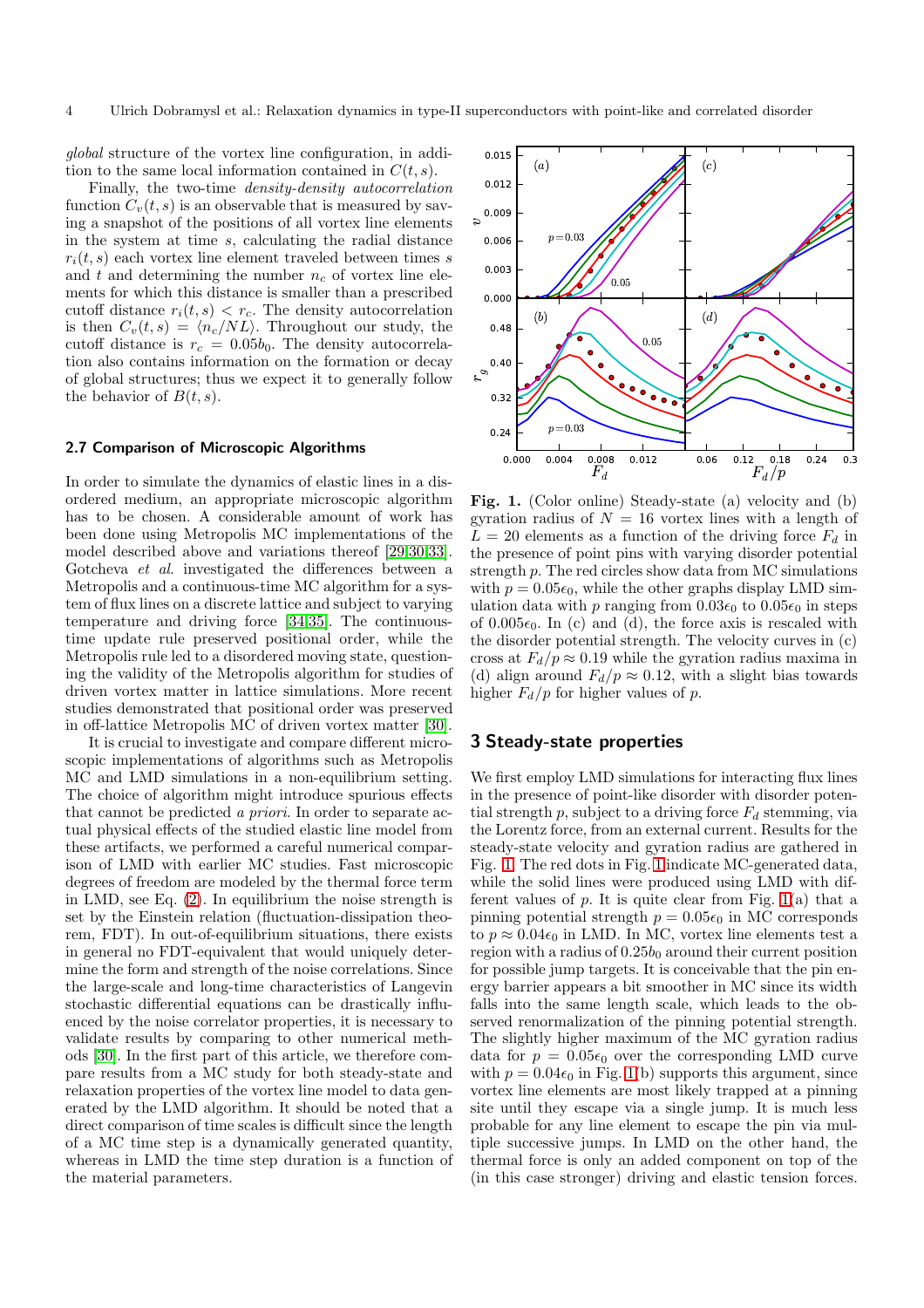global structure of the vortex line configuration, in addition to the same local information contained in  $C(t, s)$ .

Finally, the two-time density-density autocorrelation function  $C_v(t, s)$  is an observable that is measured by saving a snapshot of the positions of all vortex line elements in the system at time s, calculating the radial distance  $r_i(t, s)$  each vortex line element traveled between times s and t and determining the number  $n_c$  of vortex line elements for which this distance is smaller than a prescribed cutoff distance  $r_i(t, s) < r_c$ . The density autocorrelation is then  $C_v(t, s) = \langle n_c/NL \rangle$ . Throughout our study, the cutoff distance is  $r_c = 0.05b_0$ . The density autocorrelation also contains information on the formation or decay of global structures; thus we expect it to generally follow the behavior of  $B(t, s)$ .

## <span id="page-3-2"></span>2.7 Comparison of Microscopic Algorithms

In order to simulate the dynamics of elastic lines in a disordered medium, an appropriate microscopic algorithm has to be chosen. A considerable amount of work has been done using Metropolis MC implementations of the model described above and variations thereof [\[29,](#page-14-28)[30](#page-14-29)[,33\]](#page-14-31). Gotcheva et al. investigated the differences between a Metropolis and a continuous-time MC algorithm for a system of flux lines on a discrete lattice and subject to varying temperature and driving force [\[34,](#page-14-33)[35\]](#page-14-34). The continuoustime update rule preserved positional order, while the Metropolis rule led to a disordered moving state, questioning the validity of the Metropolis algorithm for studies of driven vortex matter in lattice simulations. More recent studies demonstrated that positional order was preserved in off-lattice Metropolis MC of driven vortex matter [\[30\]](#page-14-29).

It is crucial to investigate and compare different microscopic implementations of algorithms such as Metropolis MC and LMD simulations in a non-equilibrium setting. The choice of algorithm might introduce spurious effects that cannot be predicted a priori. In order to separate actual physical effects of the studied elastic line model from these artifacts, we performed a careful numerical comparison of LMD with earlier MC studies. Fast microscopic degrees of freedom are modeled by the thermal force term in LMD, see Eq. [\(2\)](#page-1-1). In equilibrium the noise strength is set by the Einstein relation (fluctuation-dissipation theorem, FDT). In out-of-equilibrium situations, there exists in general no FDT-equivalent that would uniquely determine the form and strength of the noise correlations. Since the large-scale and long-time characteristics of Langevin stochastic differential equations can be drastically influenced by the noise correlator properties, it is necessary to validate results by comparing to other numerical methods [\[30\]](#page-14-29). In the first part of this article, we therefore compare results from a MC study for both steady-state and relaxation properties of the vortex line model to data generated by the LMD algorithm. It should be noted that a direct comparison of time scales is difficult since the length of a MC time step is a dynamically generated quantity, whereas in LMD the time step duration is a function of the material parameters.



<span id="page-3-1"></span>Fig. 1. (Color online) Steady-state (a) velocity and (b) gyration radius of  $N = 16$  vortex lines with a length of  $L = 20$  elements as a function of the driving force  $F<sub>d</sub>$  in the presence of point pins with varying disorder potential strength p. The red circles show data from MC simulations with  $p = 0.05\epsilon_0$ , while the other graphs display LMD simulation data with p ranging from  $0.03\epsilon_0$  to  $0.05\epsilon_0$  in steps of  $0.005\epsilon_0$ . In (c) and (d), the force axis is rescaled with the disorder potential strength. The velocity curves in (c) cross at  $F_d/p \approx 0.19$  while the gyration radius maxima in (d) align around  $F_d/p \approx 0.12$ , with a slight bias towards higher  $F_d/p$  for higher values of p.

# <span id="page-3-0"></span>3 Steady-state properties

We first employ LMD simulations for interacting flux lines in the presence of point-like disorder with disorder potential strength p, subject to a driving force  $F_d$  stemming, via the Lorentz force, from an external current. Results for the steady-state velocity and gyration radius are gathered in Fig. [1.](#page-3-1) The red dots in Fig. [1](#page-3-1) indicate MC-generated data, while the solid lines were produced using LMD with different values of  $p$ . It is quite clear from Fig. [1\(](#page-3-1)a) that a pinning potential strength  $p = 0.05\epsilon_0$  in MC corresponds to  $p \approx 0.04\epsilon_0$  in LMD. In MC, vortex line elements test a region with a radius of  $0.25b_0$  around their current position for possible jump targets. It is conceivable that the pin energy barrier appears a bit smoother in MC since its width falls into the same length scale, which leads to the observed renormalization of the pinning potential strength. The slightly higher maximum of the MC gyration radius data for  $p = 0.05\epsilon_0$  over the corresponding LMD curve with  $p = 0.04\epsilon_0$  in Fig. [1\(](#page-3-1)b) supports this argument, since vortex line elements are most likely trapped at a pinning site until they escape via a single jump. It is much less probable for any line element to escape the pin via multiple successive jumps. In LMD on the other hand, the thermal force is only an added component on top of the (in this case stronger) driving and elastic tension forces.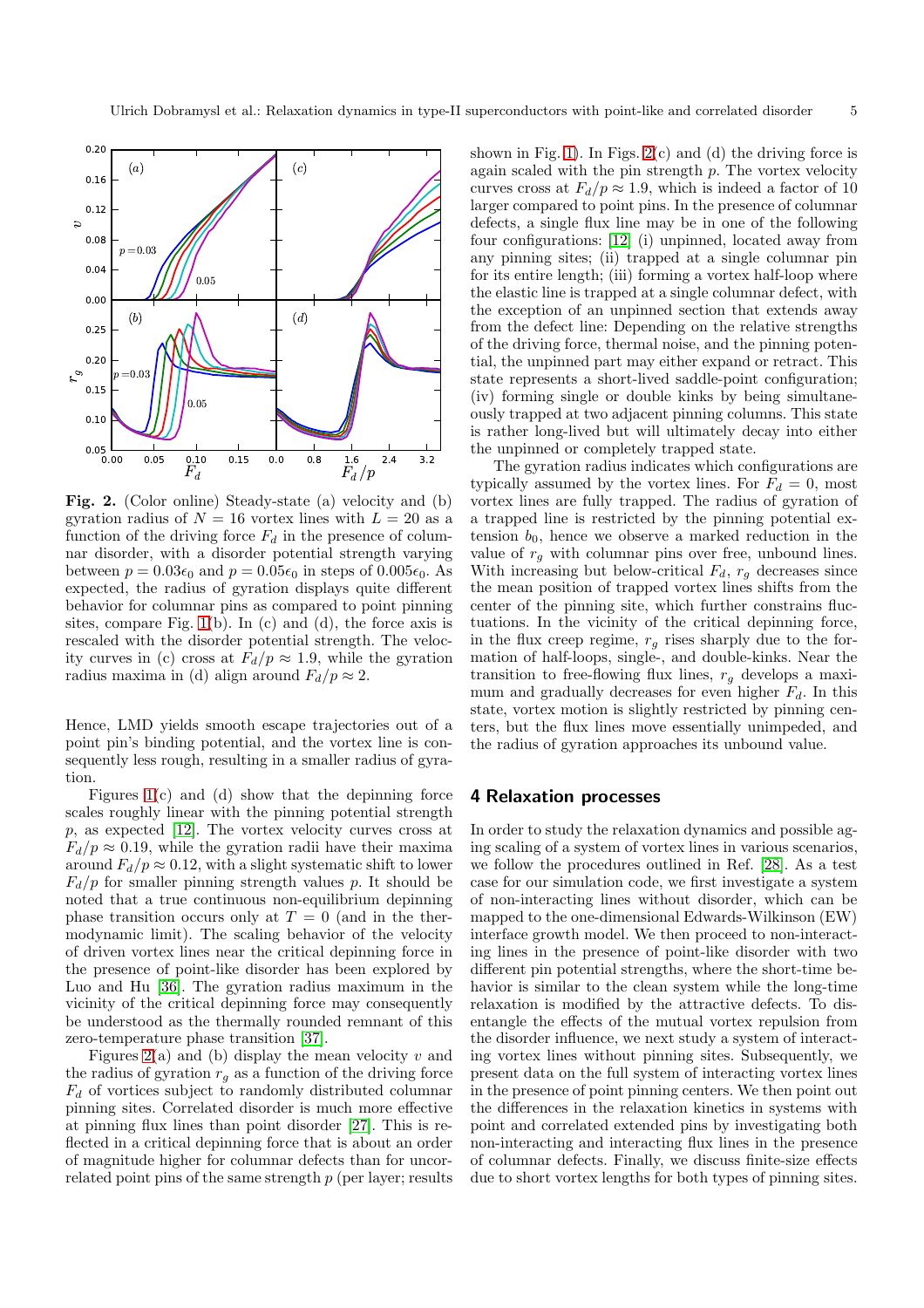

<span id="page-4-1"></span>Fig. 2. (Color online) Steady-state (a) velocity and (b) gyration radius of  $N = 16$  vortex lines with  $L = 20$  as a function of the driving force  $F_d$  in the presence of columnar disorder, with a disorder potential strength varying between  $p = 0.03\epsilon_0$  and  $p = 0.05\epsilon_0$  in steps of  $0.005\epsilon_0$ . As expected, the radius of gyration displays quite different behavior for columnar pins as compared to point pinning sites, compare Fig. [1\(](#page-3-1)b). In (c) and (d), the force axis is rescaled with the disorder potential strength. The velocity curves in (c) cross at  $F_d/p \approx 1.9$ , while the gyration radius maxima in (d) align around  $F_d/p \approx 2$ .

Hence, LMD yields smooth escape trajectories out of a point pin's binding potential, and the vortex line is consequently less rough, resulting in a smaller radius of gyration.

Figures  $1(c)$  and  $(d)$  show that the depinning force scales roughly linear with the pinning potential strength  $p$ , as expected [\[12\]](#page-14-11). The vortex velocity curves cross at  $F_d/p \approx 0.19$ , while the gyration radii have their maxima around  $F_d/p \approx 0.12$ , with a slight systematic shift to lower  $F_d/p$  for smaller pinning strength values p. It should be noted that a true continuous non-equilibrium depinning phase transition occurs only at  $T = 0$  (and in the thermodynamic limit). The scaling behavior of the velocity of driven vortex lines near the critical depinning force in the presence of point-like disorder has been explored by Luo and Hu [\[36\]](#page-14-35). The gyration radius maximum in the vicinity of the critical depinning force may consequently be understood as the thermally rounded remnant of this zero-temperature phase transition [\[37\]](#page-14-36).

Figures [2\(](#page-4-1)a) and (b) display the mean velocity  $v$  and the radius of gyration  $r_g$  as a function of the driving force  $F_d$  of vortices subject to randomly distributed columnar pinning sites. Correlated disorder is much more effective at pinning flux lines than point disorder [\[27\]](#page-14-26). This is reflected in a critical depinning force that is about an order of magnitude higher for columnar defects than for uncorrelated point pins of the same strength p (per layer; results shown in Fig. [1\)](#page-3-1). In Figs.  $2(c)$  and (d) the driving force is again scaled with the pin strength  $p$ . The vortex velocity curves cross at  $F_d/p \approx 1.9$ , which is indeed a factor of 10 larger compared to point pins. In the presence of columnar defects, a single flux line may be in one of the following four configurations: [\[12\]](#page-14-11) (i) unpinned, located away from any pinning sites; (ii) trapped at a single columnar pin for its entire length; (iii) forming a vortex half-loop where the elastic line is trapped at a single columnar defect, with the exception of an unpinned section that extends away from the defect line: Depending on the relative strengths of the driving force, thermal noise, and the pinning potential, the unpinned part may either expand or retract. This state represents a short-lived saddle-point configuration; (iv) forming single or double kinks by being simultaneously trapped at two adjacent pinning columns. This state is rather long-lived but will ultimately decay into either the unpinned or completely trapped state.

The gyration radius indicates which configurations are typically assumed by the vortex lines. For  $F_d = 0$ , most vortex lines are fully trapped. The radius of gyration of a trapped line is restricted by the pinning potential extension  $b_0$ , hence we observe a marked reduction in the value of  $r_g$  with columnar pins over free, unbound lines. With increasing but below-critical  $F_d$ ,  $r_q$  decreases since the mean position of trapped vortex lines shifts from the center of the pinning site, which further constrains fluctuations. In the vicinity of the critical depinning force, in the flux creep regime,  $r_g$  rises sharply due to the formation of half-loops, single-, and double-kinks. Near the transition to free-flowing flux lines,  $r<sub>g</sub>$  develops a maximum and gradually decreases for even higher  $F_d$ . In this state, vortex motion is slightly restricted by pinning centers, but the flux lines move essentially unimpeded, and the radius of gyration approaches its unbound value.

## <span id="page-4-0"></span>4 Relaxation processes

In order to study the relaxation dynamics and possible aging scaling of a system of vortex lines in various scenarios, we follow the procedures outlined in Ref. [\[28\]](#page-14-27). As a test case for our simulation code, we first investigate a system of non-interacting lines without disorder, which can be mapped to the one-dimensional Edwards-Wilkinson (EW) interface growth model. We then proceed to non-interacting lines in the presence of point-like disorder with two different pin potential strengths, where the short-time behavior is similar to the clean system while the long-time relaxation is modified by the attractive defects. To disentangle the effects of the mutual vortex repulsion from the disorder influence, we next study a system of interacting vortex lines without pinning sites. Subsequently, we present data on the full system of interacting vortex lines in the presence of point pinning centers. We then point out the differences in the relaxation kinetics in systems with point and correlated extended pins by investigating both non-interacting and interacting flux lines in the presence of columnar defects. Finally, we discuss finite-size effects due to short vortex lengths for both types of pinning sites.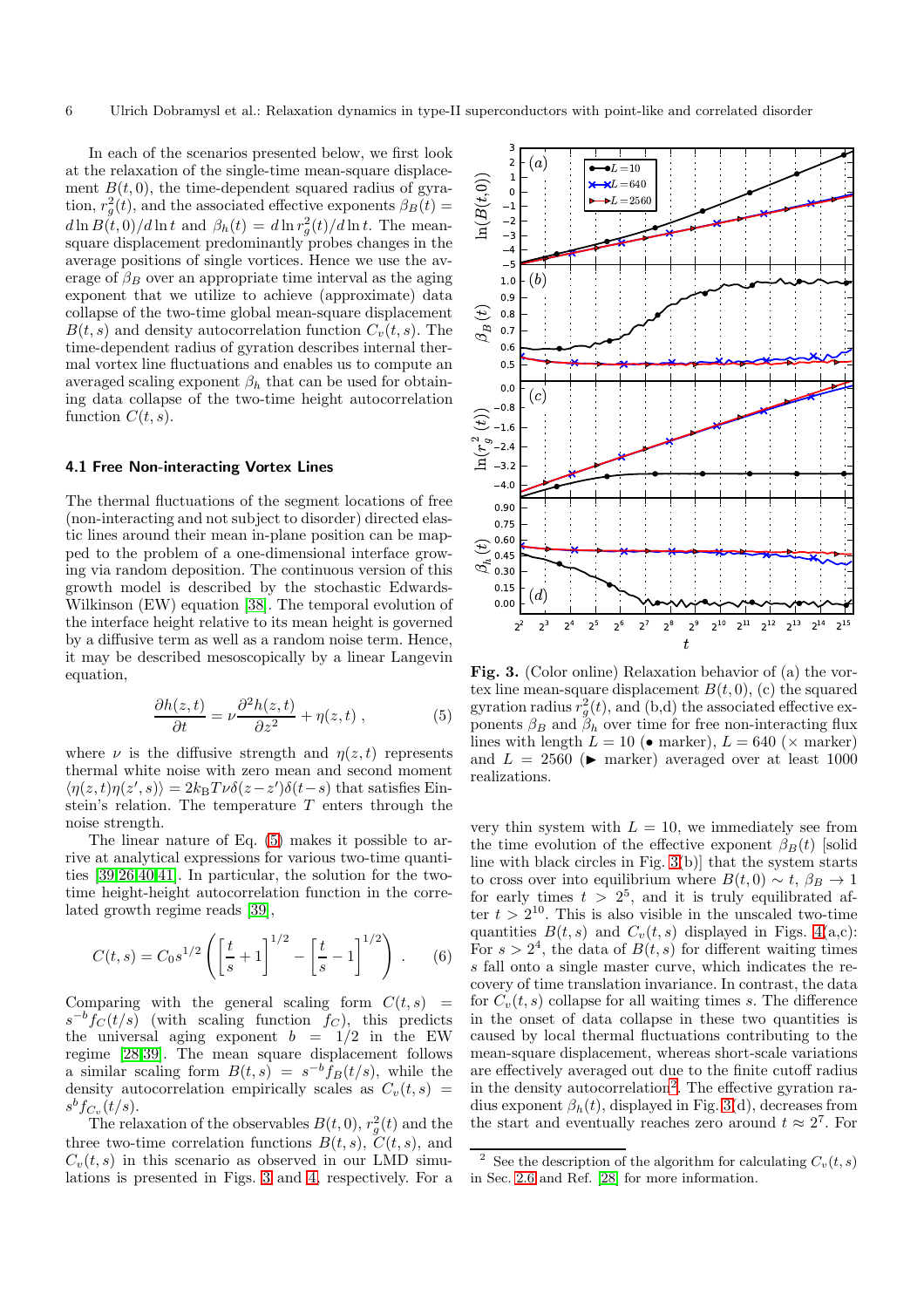In each of the scenarios presented below, we first look at the relaxation of the single-time mean-square displacement  $B(t, 0)$ , the time-dependent squared radius of gyration,  $r_g^2(t)$ , and the associated effective exponents  $\beta_B(t)$  =  $d\ln B(t,0)/d\ln t$  and  $\beta_h(t) = d\ln r_g^2(t)/d\ln t$ . The meansquare displacement predominantly probes changes in the average positions of single vortices. Hence we use the average of  $\beta_B$  over an appropriate time interval as the aging exponent that we utilize to achieve (approximate) data collapse of the two-time global mean-square displacement  $B(t, s)$  and density autocorrelation function  $C_v(t, s)$ . The time-dependent radius of gyration describes internal thermal vortex line fluctuations and enables us to compute an averaged scaling exponent  $\beta_h$  that can be used for obtaining data collapse of the two-time height autocorrelation function  $C(t, s)$ .

# <span id="page-5-0"></span>4.1 Free Non-interacting Vortex Lines

The thermal fluctuations of the segment locations of free (non-interacting and not subject to disorder) directed elastic lines around their mean in-plane position can be mapped to the problem of a one-dimensional interface growing via random deposition. The continuous version of this growth model is described by the stochastic Edwards-Wilkinson (EW) equation [\[38\]](#page-14-37). The temporal evolution of the interface height relative to its mean height is governed by a diffusive term as well as a random noise term. Hence, it may be described mesoscopically by a linear Langevin equation,

<span id="page-5-1"></span>
$$
\frac{\partial h(z,t)}{\partial t} = \nu \frac{\partial^2 h(z,t)}{\partial z^2} + \eta(z,t) , \qquad (5)
$$

where  $\nu$  is the diffusive strength and  $\eta(z,t)$  represents thermal white noise with zero mean and second moment  $\langle \eta(z,t) \eta(z',s) \rangle = 2k_{\rm B}T \nu \delta(z-z') \delta(t-s)$  that satisfies Einstein's relation. The temperature  $T$  enters through the noise strength.

The linear nature of Eq. [\(5\)](#page-5-1) makes it possible to arrive at analytical expressions for various two-time quantities [\[39](#page-14-38)[,26](#page-14-25)[,40,](#page-14-39)[41\]](#page-14-40). In particular, the solution for the twotime height-height autocorrelation function in the correlated growth regime reads [\[39\]](#page-14-38),

<span id="page-5-4"></span>
$$
C(t,s) = C_0 s^{1/2} \left( \left[ \frac{t}{s} + 1 \right]^{1/2} - \left[ \frac{t}{s} - 1 \right]^{1/2} \right) . \tag{6}
$$

Comparing with the general scaling form  $C(t,s)$  $s^{-b}f_C(t/s)$  (with scaling function  $f_C$ ), this predicts the universal aging exponent  $b = 1/2$  in the EW regime [\[28,](#page-14-27)[39\]](#page-14-38). The mean square displacement follows a similar scaling form  $B(t,s) = s^{-b} \bar{f}_B(t/s)$ , while the density autocorrelation empirically scales as  $C_v(t, s)$  =  $s^b f_{C_v}(t/s)$ .

The relaxation of the observables  $B(t,0), r_g^2(t)$  and the three two-time correlation functions  $B(t, s)$ ,  $C(t, s)$ , and  $C_v(t, s)$  in this scenario as observed in our LMD simulations is presented in Figs. [3](#page-5-2) and [4,](#page-6-0) respectively. For a



<span id="page-5-2"></span>Fig. 3. (Color online) Relaxation behavior of (a) the vortex line mean-square displacement  $B(t, 0)$ , (c) the squared gyration radius  $r_g^2(t)$ , and (b,d) the associated effective exponents  $\beta_B$  and  $\beta_h$  over time for free non-interacting flux lines with length  $L = 10$  ( $\bullet$  marker),  $L = 640$  ( $\times$  marker) and  $L = 2560$  ( $\blacktriangleright$  marker) averaged over at least 1000 realizations.

very thin system with  $L = 10$ , we immediately see from the time evolution of the effective exponent  $\beta_B(t)$  [solid line with black circles in Fig. [3\(](#page-5-2)b)] that the system starts to cross over into equilibrium where  $B(t, 0) \sim t$ ,  $\beta_B \to 1$ for early times  $t > 2^5$ , and it is truly equilibrated after  $t > 2^{10}$ . This is also visible in the unscaled two-time quantities  $B(t, s)$  and  $C_v(t, s)$  displayed in Figs. [4\(](#page-6-0)a,c): For  $s > 2<sup>4</sup>$ , the data of  $B(t, s)$  for different waiting times s fall onto a single master curve, which indicates the recovery of time translation invariance. In contrast, the data for  $C_v(t, s)$  collapse for all waiting times s. The difference in the onset of data collapse in these two quantities is caused by local thermal fluctuations contributing to the mean-square displacement, whereas short-scale variations are effectively averaged out due to the finite cutoff radius in the density autocorrelation<sup>[2](#page-5-3)</sup>. The effective gyration radius exponent  $\beta_h(t)$ , displayed in Fig. [3\(](#page-5-2)d), decreases from the start and eventually reaches zero around  $t \approx 2^7$ . For

<span id="page-5-3"></span><sup>2</sup> See the description of the algorithm for calculating  $C_v(t, s)$ in Sec. [2.6](#page-2-0) and Ref. [\[28\]](#page-14-27) for more information.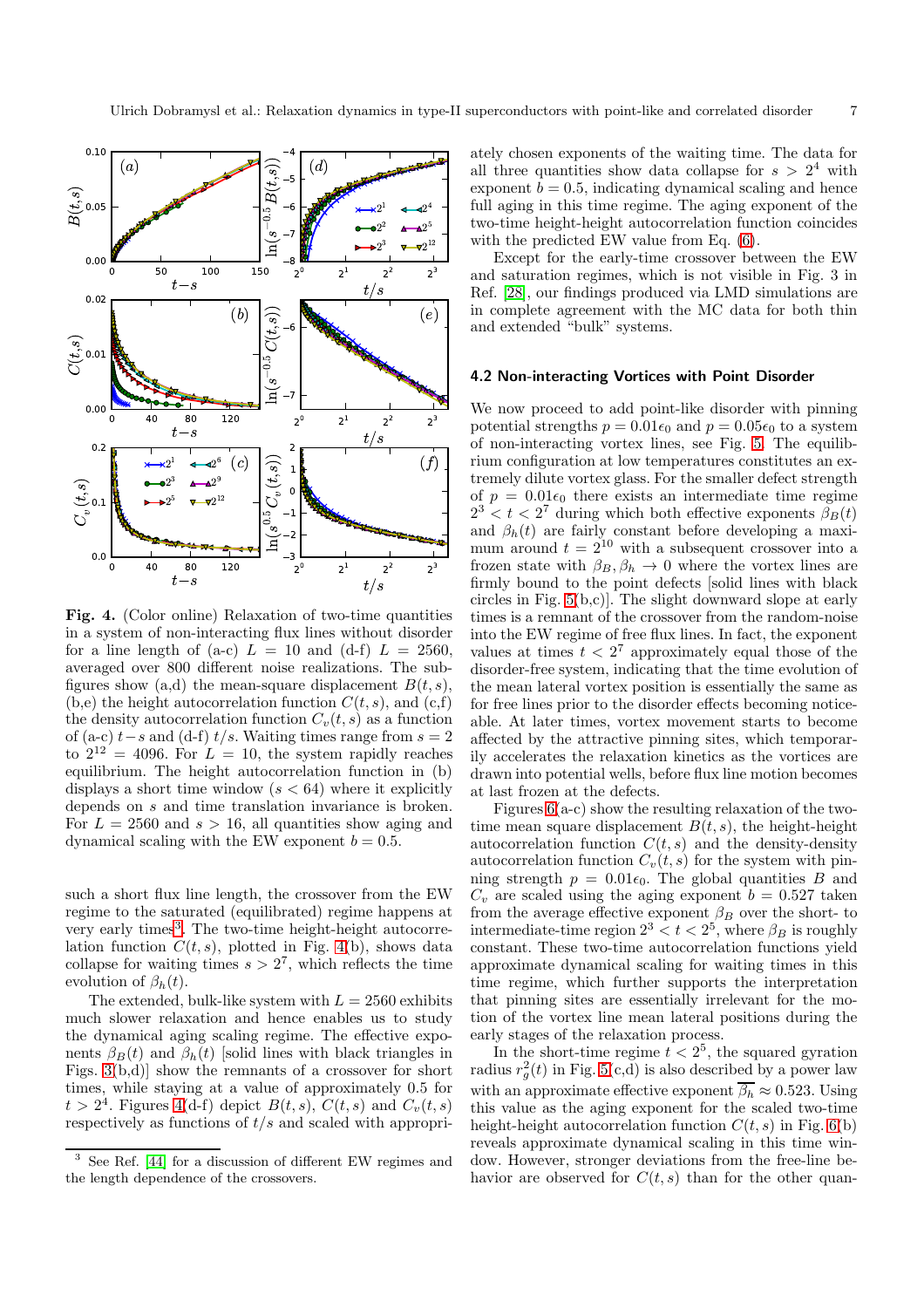

<span id="page-6-0"></span>Fig. 4. (Color online) Relaxation of two-time quantities in a system of non-interacting flux lines without disorder for a line length of (a-c)  $L = 10$  and (d-f)  $L = 2560$ . averaged over 800 different noise realizations. The subfigures show (a,d) the mean-square displacement  $B(t, s)$ , (b,e) the height autocorrelation function  $C(t, s)$ , and  $(c, f)$ the density autocorrelation function  $C_v(t, s)$  as a function of (a-c)  $t-s$  and (d-f)  $t/s$ . Waiting times range from  $s = 2$ to  $2^{12} = 4096$ . For  $L = 10$ , the system rapidly reaches equilibrium. The height autocorrelation function in (b) displays a short time window  $(s < 64)$  where it explicitly depends on s and time translation invariance is broken. For  $L = 2560$  and  $s > 16$ , all quantities show aging and dynamical scaling with the EW exponent  $b = 0.5$ .

such a short flux line length, the crossover from the EW regime to the saturated (equilibrated) regime happens at very early times<sup>[3](#page-6-1)</sup>. The two-time height-height autocorrelation function  $C(t, s)$ , plotted in Fig. [4\(](#page-6-0)b), shows data collapse for waiting times  $s > 2^7$ , which reflects the time evolution of  $\beta_h(t)$ .

The extended, bulk-like system with  $L = 2560$  exhibits much slower relaxation and hence enables us to study the dynamical aging scaling regime. The effective exponents  $\beta_B(t)$  and  $\beta_h(t)$  [solid lines with black triangles in Figs. [3\(](#page-5-2)b,d)] show the remnants of a crossover for short times, while staying at a value of approximately 0.5 for  $t > 2<sup>4</sup>$ . Figures [4\(](#page-6-0)d-f) depict  $B(t, s)$ ,  $C(t, s)$  and  $C_v(t, s)$ respectively as functions of  $t/s$  and scaled with appropriately chosen exponents of the waiting time. The data for all three quantities show data collapse for  $s > 2^4$  with exponent  $b = 0.5$ , indicating dynamical scaling and hence full aging in this time regime. The aging exponent of the two-time height-height autocorrelation function coincides with the predicted EW value from Eq. [\(6\)](#page-5-4).

Except for the early-time crossover between the EW and saturation regimes, which is not visible in Fig. 3 in Ref. [\[28\]](#page-14-27), our findings produced via LMD simulations are in complete agreement with the MC data for both thin and extended "bulk" systems.

#### <span id="page-6-2"></span>4.2 Non-interacting Vortices with Point Disorder

We now proceed to add point-like disorder with pinning potential strengths  $p = 0.01\epsilon_0$  and  $p = 0.05\epsilon_0$  to a system of non-interacting vortex lines, see Fig. [5.](#page-7-0) The equilibrium configuration at low temperatures constitutes an extremely dilute vortex glass. For the smaller defect strength of  $p = 0.01\epsilon_0$  there exists an intermediate time regime  $2^3 < t < 2^7$  during which both effective exponents  $\beta_B(t)$ and  $\beta_h(t)$  are fairly constant before developing a maximum around  $t = 2^{10}$  with a subsequent crossover into a frozen state with  $\beta_B, \beta_h \to 0$  where the vortex lines are firmly bound to the point defects [solid lines with black circles in Fig. [5\(](#page-7-0)b,c)]. The slight downward slope at early times is a remnant of the crossover from the random-noise into the EW regime of free flux lines. In fact, the exponent values at times  $t < 2<sup>7</sup>$  approximately equal those of the disorder-free system, indicating that the time evolution of the mean lateral vortex position is essentially the same as for free lines prior to the disorder effects becoming noticeable. At later times, vortex movement starts to become affected by the attractive pinning sites, which temporarily accelerates the relaxation kinetics as the vortices are drawn into potential wells, before flux line motion becomes at last frozen at the defects.

Figures [6\(](#page-7-1)a-c) show the resulting relaxation of the twotime mean square displacement  $B(t, s)$ , the height-height autocorrelation function  $C(t, s)$  and the density-density autocorrelation function  $C_v(t, s)$  for the system with pinning strength  $p = 0.01\epsilon_0$ . The global quantities B and  $C_v$  are scaled using the aging exponent  $b = 0.527$  taken from the average effective exponent  $\beta_B$  over the short- to intermediate-time region  $2^3 < t < 2^5$ , where  $\beta_B$  is roughly constant. These two-time autocorrelation functions yield approximate dynamical scaling for waiting times in this time regime, which further supports the interpretation that pinning sites are essentially irrelevant for the motion of the vortex line mean lateral positions during the early stages of the relaxation process.

In the short-time regime  $t < 2^5$ , the squared gyration radius  $r_g^2(t)$  in Fig. [5\(](#page-7-0)c,d) is also described by a power law with an approximate effective exponent  $\overline{\beta_h} \approx 0.523$ . Using this value as the aging exponent for the scaled two-time height-height autocorrelation function  $C(t, s)$  in Fig. [6\(](#page-7-1)b) reveals approximate dynamical scaling in this time window. However, stronger deviations from the free-line behavior are observed for  $C(t, s)$  than for the other quan-

<span id="page-6-1"></span><sup>3</sup> See Ref. [\[44\]](#page-14-41) for a discussion of different EW regimes and the length dependence of the crossovers.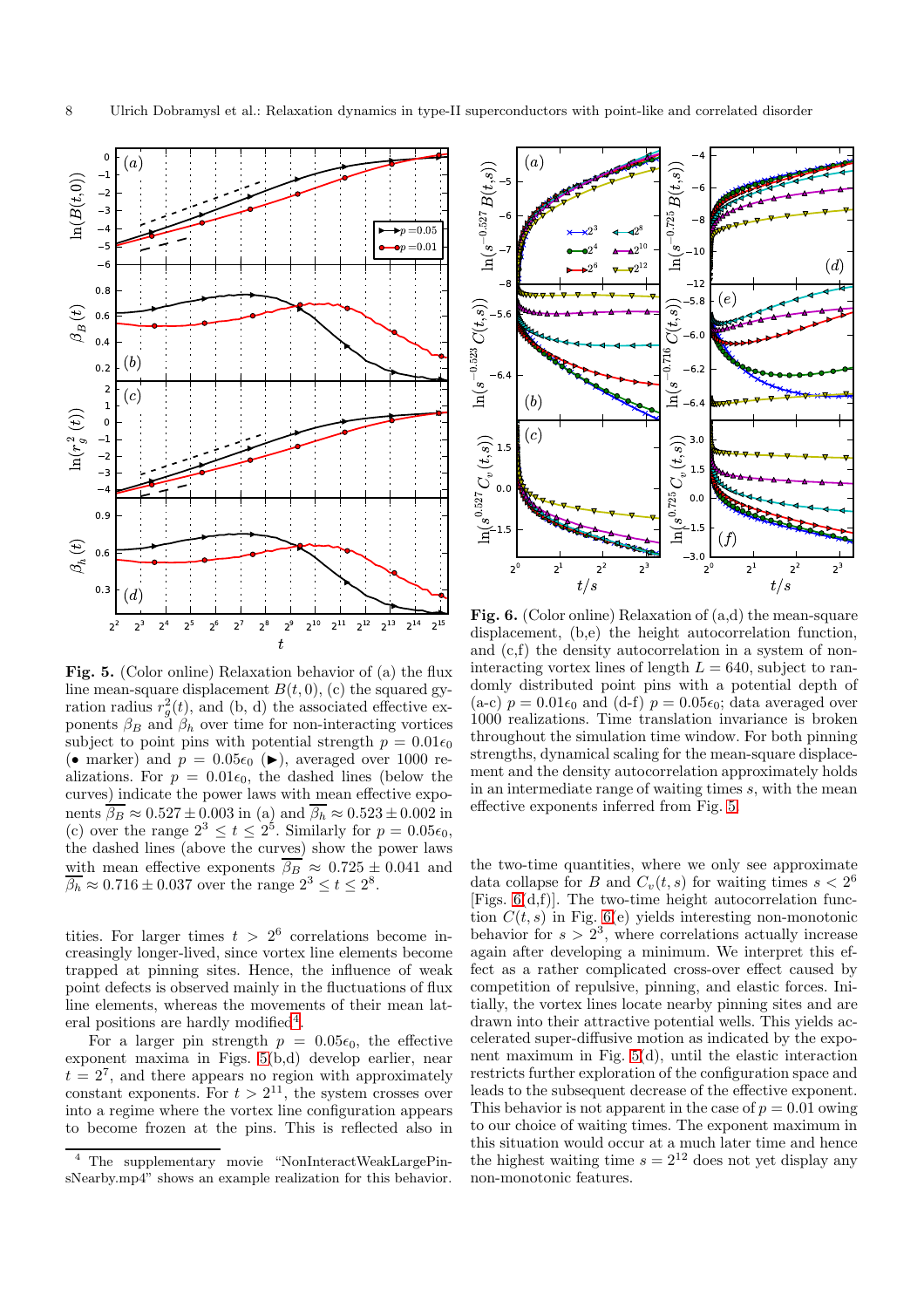

<span id="page-7-0"></span>Fig. 5. (Color online) Relaxation behavior of (a) the flux line mean-square displacement  $B(t, 0)$ , (c) the squared gyration radius  $r_g^2(t)$ , and (b, d) the associated effective exponents  $\beta_B$  and  $\beta_h$  over time for non-interacting vortices subject to point pins with potential strength  $p = 0.01\epsilon_0$ (• marker) and  $p = 0.05\epsilon_0$  ( $\blacktriangleright$ ), averaged over 1000 realizations. For  $p = 0.01\epsilon_0$ , the dashed lines (below the curves) indicate the power laws with mean effective exponents  $\overline{\beta_B} \approx 0.527 \pm 0.003$  in (a) and  $\overline{\beta_h} \approx 0.523 \pm 0.002$  in (c) over the range  $2^3 \le t \le 2^5$ . Similarly for  $p = 0.05\epsilon_0$ , the dashed lines (above the curves) show the power laws with mean effective exponents  $\beta_B \approx 0.725 \pm 0.041$  and  $\overline{\beta_h} \approx 0.716 \pm 0.037$  over the range  $2^3 \le t \le 2^8$ .

tities. For larger times  $t > 2^6$  correlations become increasingly longer-lived, since vortex line elements become trapped at pinning sites. Hence, the influence of weak point defects is observed mainly in the fluctuations of flux line elements, whereas the movements of their mean lat-eral positions are hardly modified<sup>[4](#page-7-2)</sup>.

For a larger pin strength  $p = 0.05\epsilon_0$ , the effective exponent maxima in Figs. [5\(](#page-7-0)b,d) develop earlier, near  $t = 2<sup>7</sup>$ , and there appears no region with approximately constant exponents. For  $t > 2^{11}$ , the system crosses over into a regime where the vortex line configuration appears to become frozen at the pins. This is reflected also in



<span id="page-7-1"></span>Fig. 6. (Color online) Relaxation of (a,d) the mean-square displacement, (b,e) the height autocorrelation function, and (c,f) the density autocorrelation in a system of noninteracting vortex lines of length  $L = 640$ , subject to randomly distributed point pins with a potential depth of (a-c)  $p = 0.01\epsilon_0$  and (d-f)  $p = 0.05\epsilon_0$ ; data averaged over 1000 realizations. Time translation invariance is broken throughout the simulation time window. For both pinning strengths, dynamical scaling for the mean-square displacement and the density autocorrelation approximately holds in an intermediate range of waiting times s, with the mean effective exponents inferred from Fig. [5.](#page-7-0)

the two-time quantities, where we only see approximate data collapse for B and  $C_v(t, s)$  for waiting times  $s < 2^6$ [Figs. [6\(](#page-7-1)d,f)]. The two-time height autocorrelation function  $C(t, s)$  in Fig. [6\(](#page-7-1)e) yields interesting non-monotonic behavior for  $s > 2^3$ , where correlations actually increase again after developing a minimum. We interpret this effect as a rather complicated cross-over effect caused by competition of repulsive, pinning, and elastic forces. Initially, the vortex lines locate nearby pinning sites and are drawn into their attractive potential wells. This yields accelerated super-diffusive motion as indicated by the exponent maximum in Fig. [5\(](#page-7-0)d), until the elastic interaction restricts further exploration of the configuration space and leads to the subsequent decrease of the effective exponent. This behavior is not apparent in the case of  $p = 0.01$  owing to our choice of waiting times. The exponent maximum in this situation would occur at a much later time and hence the highest waiting time  $s = 2^{12}$  does not yet display any non-monotonic features.

<span id="page-7-2"></span>The supplementary movie "NonInteractWeakLargePinsNearby.mp4" shows an example realization for this behavior.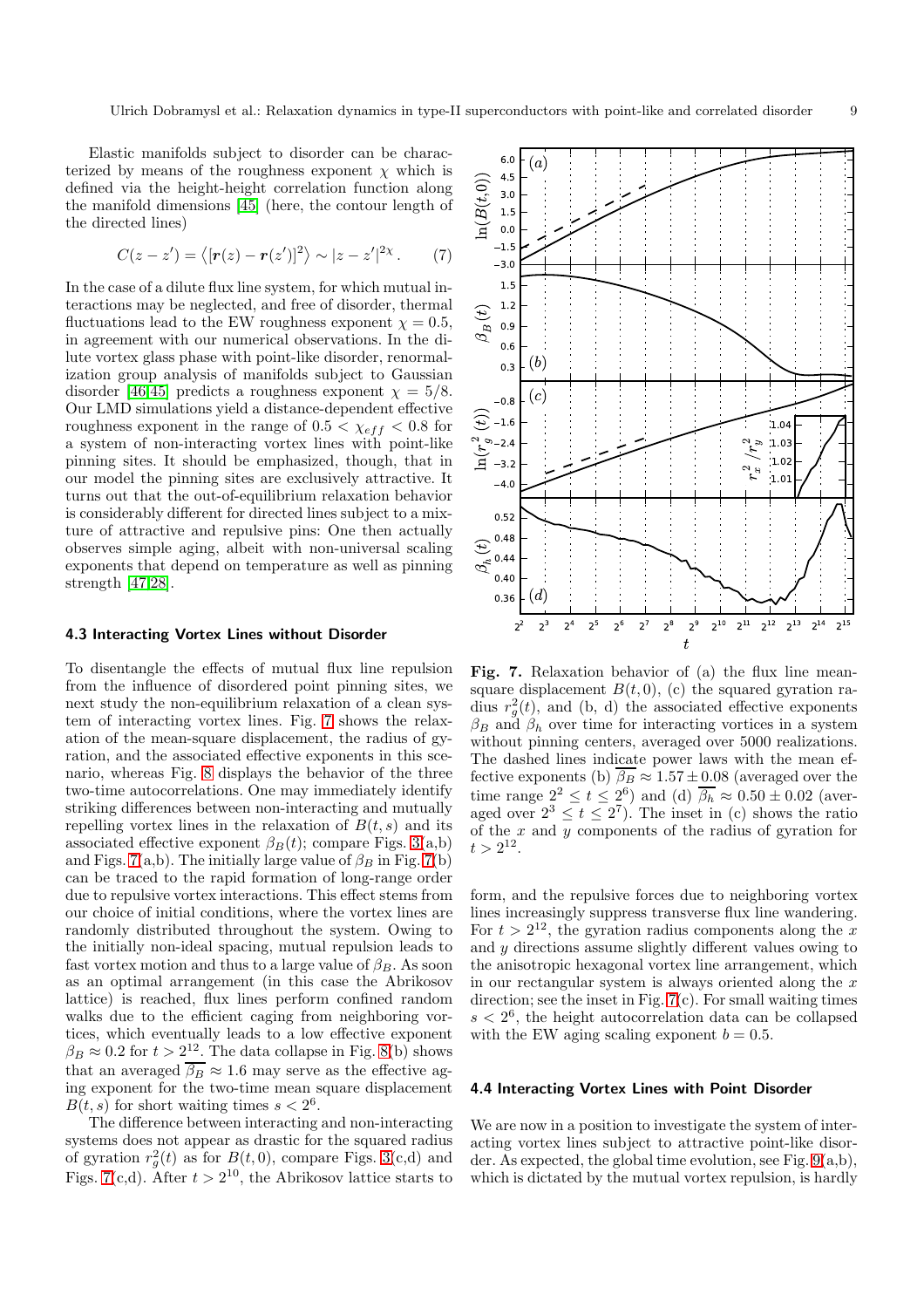Elastic manifolds subject to disorder can be characterized by means of the roughness exponent  $\chi$  which is defined via the height-height correlation function along the manifold dimensions [\[45\]](#page-14-42) (here, the contour length of the directed lines)

$$
C(z-z') = \langle [\mathbf{r}(z)-\mathbf{r}(z')]^2 \rangle \sim |z-z'|^{2\chi}.
$$
 (7)

In the case of a dilute flux line system, for which mutual interactions may be neglected, and free of disorder, thermal fluctuations lead to the EW roughness exponent  $\chi = 0.5$ , in agreement with our numerical observations. In the dilute vortex glass phase with point-like disorder, renormalization group analysis of manifolds subject to Gaussian disorder [\[46,](#page-14-43)[45\]](#page-14-42) predicts a roughness exponent  $\chi = 5/8$ . Our LMD simulations yield a distance-dependent effective roughness exponent in the range of  $0.5 < \chi_{eff} < 0.8$  for a system of non-interacting vortex lines with point-like pinning sites. It should be emphasized, though, that in our model the pinning sites are exclusively attractive. It turns out that the out-of-equilibrium relaxation behavior is considerably different for directed lines subject to a mixture of attractive and repulsive pins: One then actually observes simple aging, albeit with non-universal scaling exponents that depend on temperature as well as pinning strength [\[47](#page-14-44)[,28\]](#page-14-27).

#### <span id="page-8-1"></span>4.3 Interacting Vortex Lines without Disorder

To disentangle the effects of mutual flux line repulsion from the influence of disordered point pinning sites, we next study the non-equilibrium relaxation of a clean system of interacting vortex lines. Fig. [7](#page-8-0) shows the relaxation of the mean-square displacement, the radius of gyration, and the associated effective exponents in this scenario, whereas Fig. [8](#page-9-0) displays the behavior of the three two-time autocorrelations. One may immediately identify striking differences between non-interacting and mutually repelling vortex lines in the relaxation of  $B(t, s)$  and its associated effective exponent  $\beta_B(t)$ ; compare Figs. [3\(](#page-5-2)a,b) and Figs. [7\(](#page-8-0)a,b). The initially large value of  $\beta_B$  in Fig. 7(b) can be traced to the rapid formation of long-range order due to repulsive vortex interactions. This effect stems from our choice of initial conditions, where the vortex lines are randomly distributed throughout the system. Owing to the initially non-ideal spacing, mutual repulsion leads to fast vortex motion and thus to a large value of  $\beta_B$ . As soon as an optimal arrangement (in this case the Abrikosov lattice) is reached, flux lines perform confined random walks due to the efficient caging from neighboring vortices, which eventually leads to a low effective exponent  $\beta_B \approx 0.2$  for  $t > 2^{12}$ . The data collapse in Fig. [8\(](#page-9-0)b) shows that an averaged  $\overline{\beta_B} \approx 1.6$  may serve as the effective aging exponent for the two-time mean square displacement  $B(t, s)$  for short waiting times  $s < 2<sup>6</sup>$ .

The difference between interacting and non-interacting systems does not appear as drastic for the squared radius of gyration  $r_g^2(t)$  as for  $B(t, 0)$ , compare Figs. [3\(](#page-5-2)c,d) and Figs. [7\(](#page-8-0)c,d). After  $t > 2^{10}$ , the Abrikosov lattice starts to



<span id="page-8-0"></span>Fig. 7. Relaxation behavior of (a) the flux line meansquare displacement  $B(t, 0)$ , (c) the squared gyration radius  $r_g^2(t)$ , and (b, d) the associated effective exponents  $\beta_B$  and  $\beta_h$  over time for interacting vortices in a system without pinning centers, averaged over 5000 realizations. The dashed lines indicate power laws with the mean effective exponents (b)  $\overline{\beta_B} \approx 1.57 \pm 0.08$  (averaged over the time range  $2^2 \le t \le 2^6$ ) and (d)  $\overline{\beta_h} \approx 0.50 \pm 0.02$  (averaged over  $2^3 \le t \le 2^7$ ). The inset in (c) shows the ratio of the  $x$  and  $y$  components of the radius of gyration for  $t > 2^{12}$ .

form, and the repulsive forces due to neighboring vortex lines increasingly suppress transverse flux line wandering. For  $t > 2^{12}$ , the gyration radius components along the x and y directions assume slightly different values owing to the anisotropic hexagonal vortex line arrangement, which in our rectangular system is always oriented along the  $x$ direction; see the inset in Fig.  $7(c)$ . For small waiting times  $s < 2<sup>6</sup>$ , the height autocorrelation data can be collapsed with the EW aging scaling exponent  $b = 0.5$ .

#### <span id="page-8-2"></span>4.4 Interacting Vortex Lines with Point Disorder

We are now in a position to investigate the system of interacting vortex lines subject to attractive point-like disorder. As expected, the global time evolution, see Fig. [9\(](#page-9-1)a,b), which is dictated by the mutual vortex repulsion, is hardly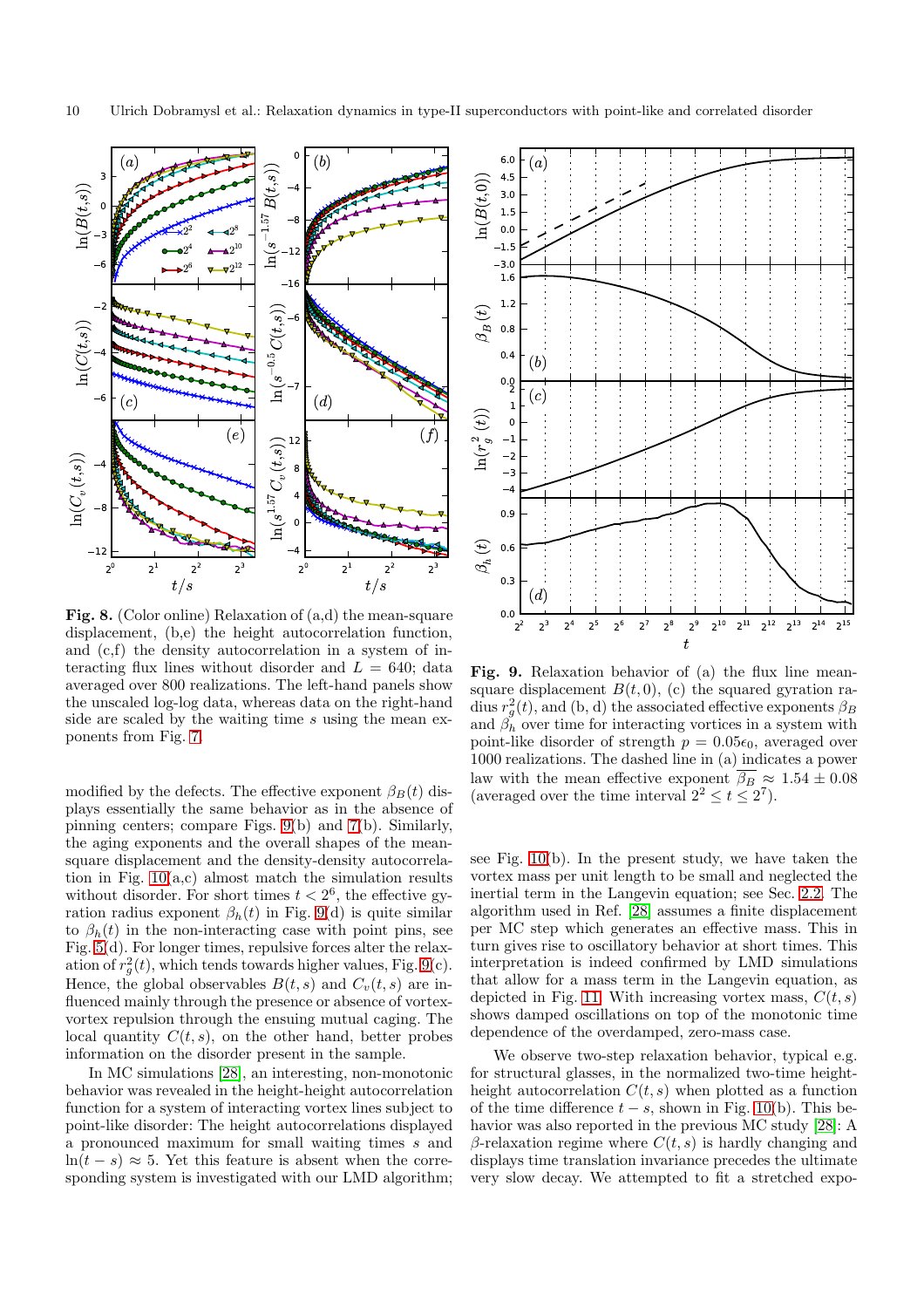

<span id="page-9-0"></span>Fig. 8. (Color online) Relaxation of (a,d) the mean-square displacement, (b,e) the height autocorrelation function, and (c,f) the density autocorrelation in a system of interacting flux lines without disorder and  $L = 640$ ; data averaged over 800 realizations. The left-hand panels show the unscaled log-log data, whereas data on the right-hand side are scaled by the waiting time s using the mean exponents from Fig. [7.](#page-8-0)

modified by the defects. The effective exponent  $\beta_B(t)$  displays essentially the same behavior as in the absence of pinning centers; compare Figs. [9\(](#page-9-1)b) and [7\(](#page-8-0)b). Similarly, the aging exponents and the overall shapes of the meansquare displacement and the density-density autocorrelation in Fig.  $10(a,c)$  almost match the simulation results without disorder. For short times  $t < 2^6$ , the effective gyration radius exponent  $\beta_h(t)$  in Fig. [9\(](#page-9-1)d) is quite similar to  $\beta_h(t)$  in the non-interacting case with point pins, see Fig. [5\(](#page-7-0)d). For longer times, repulsive forces alter the relaxation of  $r_g^2(t)$ , which tends towards higher values, Fig. [9\(](#page-9-1)c). Hence, the global observables  $B(t, s)$  and  $C_v(t, s)$  are influenced mainly through the presence or absence of vortexvortex repulsion through the ensuing mutual caging. The local quantity  $C(t, s)$ , on the other hand, better probes information on the disorder present in the sample.

In MC simulations [\[28\]](#page-14-27), an interesting, non-monotonic behavior was revealed in the height-height autocorrelation function for a system of interacting vortex lines subject to point-like disorder: The height autocorrelations displayed a pronounced maximum for small waiting times s and  $ln(t - s) \approx 5$ . Yet this feature is absent when the corresponding system is investigated with our LMD algorithm;



<span id="page-9-1"></span>Fig. 9. Relaxation behavior of (a) the flux line meansquare displacement  $B(t, 0)$ , (c) the squared gyration radius  $r_g^2(t)$ , and (b, d) the associated effective exponents  $\beta_B$ and  $\beta_h^{\prime}$  over time for interacting vortices in a system with point-like disorder of strength  $p = 0.05\epsilon_0$ , averaged over 1000 realizations. The dashed line in (a) indicates a power law with the mean effective exponent  $\overline{\beta_B} \approx 1.54 \pm 0.08$ (averaged over the time interval  $2^2 \le t \le 2^7$ ).

see Fig. [10\(](#page-10-0)b). In the present study, we have taken the vortex mass per unit length to be small and neglected the inertial term in the Langevin equation; see Sec. [2.2.](#page-1-3) The algorithm used in Ref. [\[28\]](#page-14-27) assumes a finite displacement per MC step which generates an effective mass. This in turn gives rise to oscillatory behavior at short times. This interpretation is indeed confirmed by LMD simulations that allow for a mass term in the Langevin equation, as depicted in Fig. [11.](#page-10-1) With increasing vortex mass,  $C(t, s)$ shows damped oscillations on top of the monotonic time dependence of the overdamped, zero-mass case.

We observe two-step relaxation behavior, typical e.g. for structural glasses, in the normalized two-time heightheight autocorrelation  $C(t, s)$  when plotted as a function of the time difference  $t - s$ , shown in Fig. [10\(](#page-10-0)b). This behavior was also reported in the previous MC study [\[28\]](#page-14-27): A β-relaxation regime where  $C(t, s)$  is hardly changing and displays time translation invariance precedes the ultimate very slow decay. We attempted to fit a stretched expo-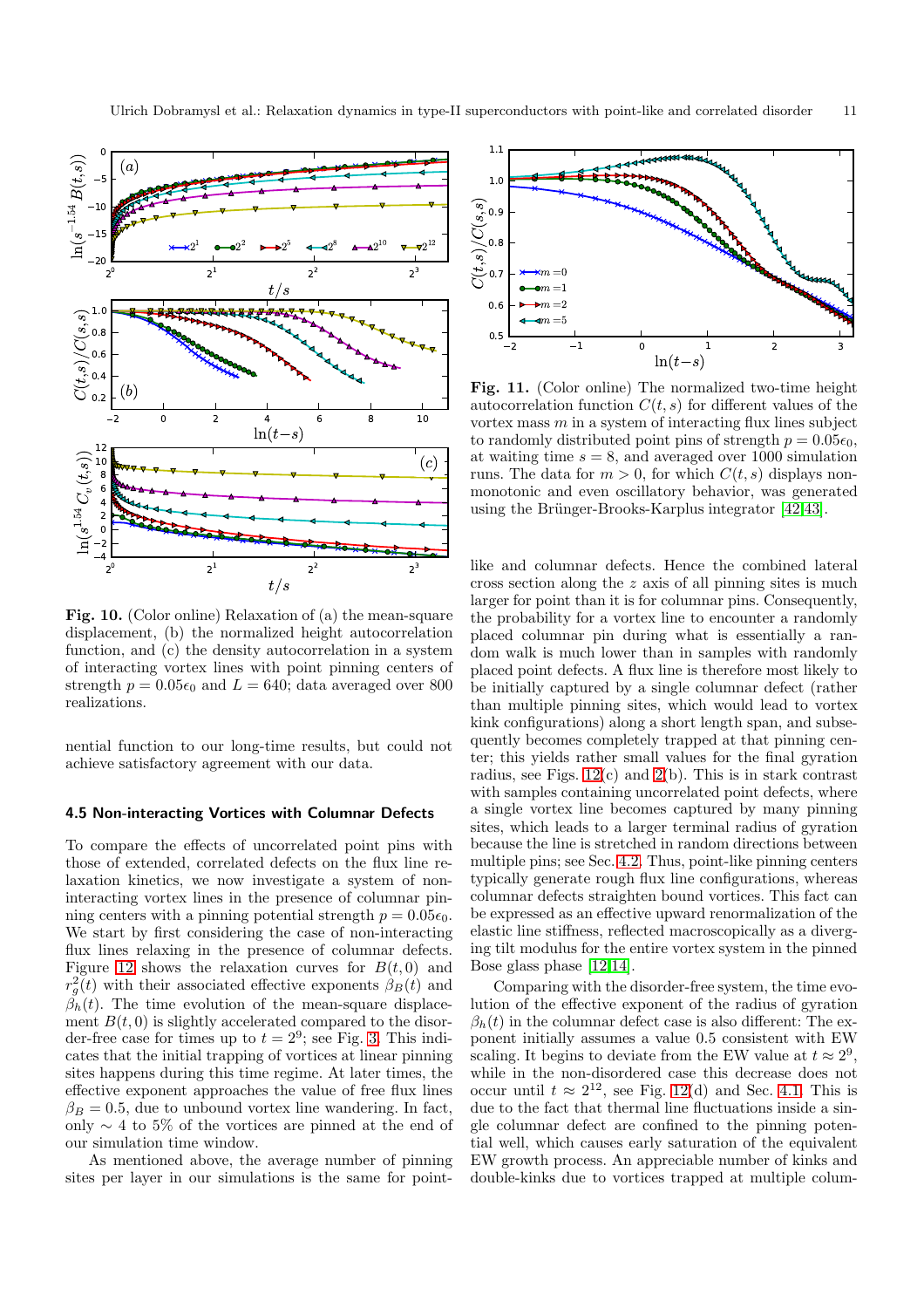

<span id="page-10-0"></span>Fig. 10. (Color online) Relaxation of (a) the mean-square displacement, (b) the normalized height autocorrelation function, and (c) the density autocorrelation in a system of interacting vortex lines with point pinning centers of strength  $p = 0.05\epsilon_0$  and  $L = 640$ ; data averaged over 800 realizations.

nential function to our long-time results, but could not achieve satisfactory agreement with our data.

#### <span id="page-10-2"></span>4.5 Non-interacting Vortices with Columnar Defects

To compare the effects of uncorrelated point pins with those of extended, correlated defects on the flux line relaxation kinetics, we now investigate a system of noninteracting vortex lines in the presence of columnar pinning centers with a pinning potential strength  $p = 0.05\epsilon_0$ . We start by first considering the case of non-interacting flux lines relaxing in the presence of columnar defects. Figure [12](#page-11-0) shows the relaxation curves for  $B(t, 0)$  and  $r_g^2(t)$  with their associated effective exponents  $\overset{\circ}{\beta}_B(t)$  and  $\tilde{\beta_h}(t)$ . The time evolution of the mean-square displacement  $B(t, 0)$  is slightly accelerated compared to the disorder-free case for times up to  $t = 2^9$ ; see Fig. [3.](#page-5-2) This indicates that the initial trapping of vortices at linear pinning sites happens during this time regime. At later times, the effective exponent approaches the value of free flux lines  $\beta_B = 0.5$ , due to unbound vortex line wandering. In fact, only ∼ 4 to 5% of the vortices are pinned at the end of our simulation time window.

As mentioned above, the average number of pinning sites per layer in our simulations is the same for point-



<span id="page-10-1"></span>Fig. 11. (Color online) The normalized two-time height autocorrelation function  $C(t, s)$  for different values of the vortex mass  $m$  in a system of interacting flux lines subject to randomly distributed point pins of strength  $p = 0.05\epsilon_0$ , at waiting time  $s = 8$ , and averaged over 1000 simulation runs. The data for  $m > 0$ , for which  $C(t, s)$  displays nonmonotonic and even oscillatory behavior, was generated using the Brünger-Brooks-Karplus integrator  $[42, 43]$ .

like and columnar defects. Hence the combined lateral cross section along the z axis of all pinning sites is much larger for point than it is for columnar pins. Consequently, the probability for a vortex line to encounter a randomly placed columnar pin during what is essentially a random walk is much lower than in samples with randomly placed point defects. A flux line is therefore most likely to be initially captured by a single columnar defect (rather than multiple pinning sites, which would lead to vortex kink configurations) along a short length span, and subsequently becomes completely trapped at that pinning center; this yields rather small values for the final gyration radius, see Figs. [12\(](#page-11-0)c) and [2\(](#page-4-1)b). This is in stark contrast with samples containing uncorrelated point defects, where a single vortex line becomes captured by many pinning sites, which leads to a larger terminal radius of gyration because the line is stretched in random directions between multiple pins; see Sec. [4.2.](#page-6-2) Thus, point-like pinning centers typically generate rough flux line configurations, whereas columnar defects straighten bound vortices. This fact can be expressed as an effective upward renormalization of the elastic line stiffness, reflected macroscopically as a diverging tilt modulus for the entire vortex system in the pinned Bose glass phase [\[12,](#page-14-11)[14\]](#page-14-13).

Comparing with the disorder-free system, the time evolution of the effective exponent of the radius of gyration  $\beta_h(t)$  in the columnar defect case is also different: The exponent initially assumes a value 0.5 consistent with EW scaling. It begins to deviate from the EW value at  $t \approx 2^9$ , while in the non-disordered case this decrease does not occur until  $t \approx 2^{12}$ , see Fig. [12\(](#page-11-0)d) and Sec. [4.1.](#page-5-0) This is due to the fact that thermal line fluctuations inside a single columnar defect are confined to the pinning potential well, which causes early saturation of the equivalent EW growth process. An appreciable number of kinks and double-kinks due to vortices trapped at multiple colum-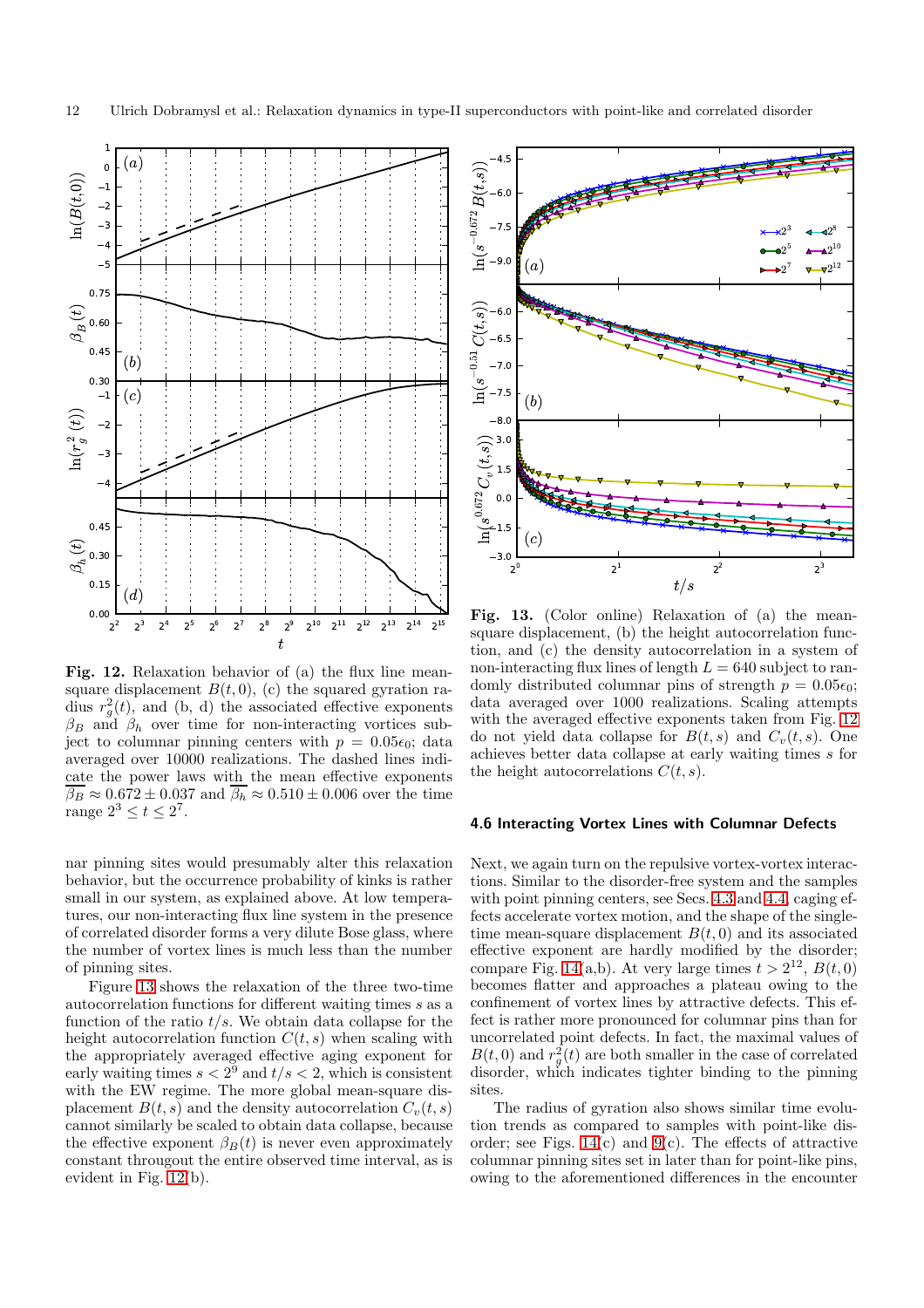

<span id="page-11-0"></span>Fig. 12. Relaxation behavior of (a) the flux line meansquare displacement  $B(t, 0)$ , (c) the squared gyration radius  $r_g^2(t)$ , and (b, d) the associated effective exponents  $\beta_B$  and  $\beta_h$  over time for non-interacting vortices subject to columnar pinning centers with  $p = 0.05\epsilon_0$ ; data averaged over 10000 realizations. The dashed lines indicate the power laws with the mean effective exponents  $\beta_B \approx 0.672 \pm 0.037$  and  $\beta_h \approx 0.510 \pm 0.006$  over the time range  $2^3 \le t \le 2^7$ .

nar pinning sites would presumably alter this relaxation behavior, but the occurrence probability of kinks is rather small in our system, as explained above. At low temperatures, our non-interacting flux line system in the presence of correlated disorder forms a very dilute Bose glass, where the number of vortex lines is much less than the number of pinning sites.

Figure [13](#page-11-1) shows the relaxation of the three two-time autocorrelation functions for different waiting times s as a function of the ratio  $t/s$ . We obtain data collapse for the height autocorrelation function  $C(t, s)$  when scaling with the appropriately averaged effective aging exponent for early waiting times  $s < 2^9$  and  $t/s < 2$ , which is consistent with the EW regime. The more global mean-square displacement  $B(t, s)$  and the density autocorrelation  $C_v(t, s)$ cannot similarly be scaled to obtain data collapse, because the effective exponent  $\beta_B(t)$  is never even approximately constant througout the entire observed time interval, as is evident in Fig. [12\(](#page-11-0)b).



<span id="page-11-1"></span>Fig. 13. (Color online) Relaxation of (a) the meansquare displacement, (b) the height autocorrelation function, and (c) the density autocorrelation in a system of non-interacting flux lines of length  $L = 640$  subject to randomly distributed columnar pins of strength  $p = 0.05\epsilon_0$ ; data averaged over 1000 realizations. Scaling attempts with the averaged effective exponents taken from Fig. [12](#page-11-0) do not yield data collapse for  $B(t, s)$  and  $C_v(t, s)$ . One achieves better data collapse at early waiting times s for the height autocorrelations  $C(t, s)$ .

# 4.6 Interacting Vortex Lines with Columnar Defects

Next, we again turn on the repulsive vortex-vortex interactions. Similar to the disorder-free system and the samples with point pinning centers, see Secs. [4.3](#page-8-1) and [4.4,](#page-8-2) caging effects accelerate vortex motion, and the shape of the singletime mean-square displacement  $B(t, 0)$  and its associated effective exponent are hardly modified by the disorder; compare Fig. [14\(](#page-12-0)a,b). At very large times  $t > 2^{12}$ ,  $B(t, 0)$ becomes flatter and approaches a plateau owing to the confinement of vortex lines by attractive defects. This effect is rather more pronounced for columnar pins than for uncorrelated point defects. In fact, the maximal values of  $B(t,0)$  and  $r_g^2(t)$  are both smaller in the case of correlated disorder, which indicates tighter binding to the pinning sites.

The radius of gyration also shows similar time evolution trends as compared to samples with point-like disorder; see Figs.  $14(c)$  and  $9(c)$ . The effects of attractive columnar pinning sites set in later than for point-like pins, owing to the aforementioned differences in the encounter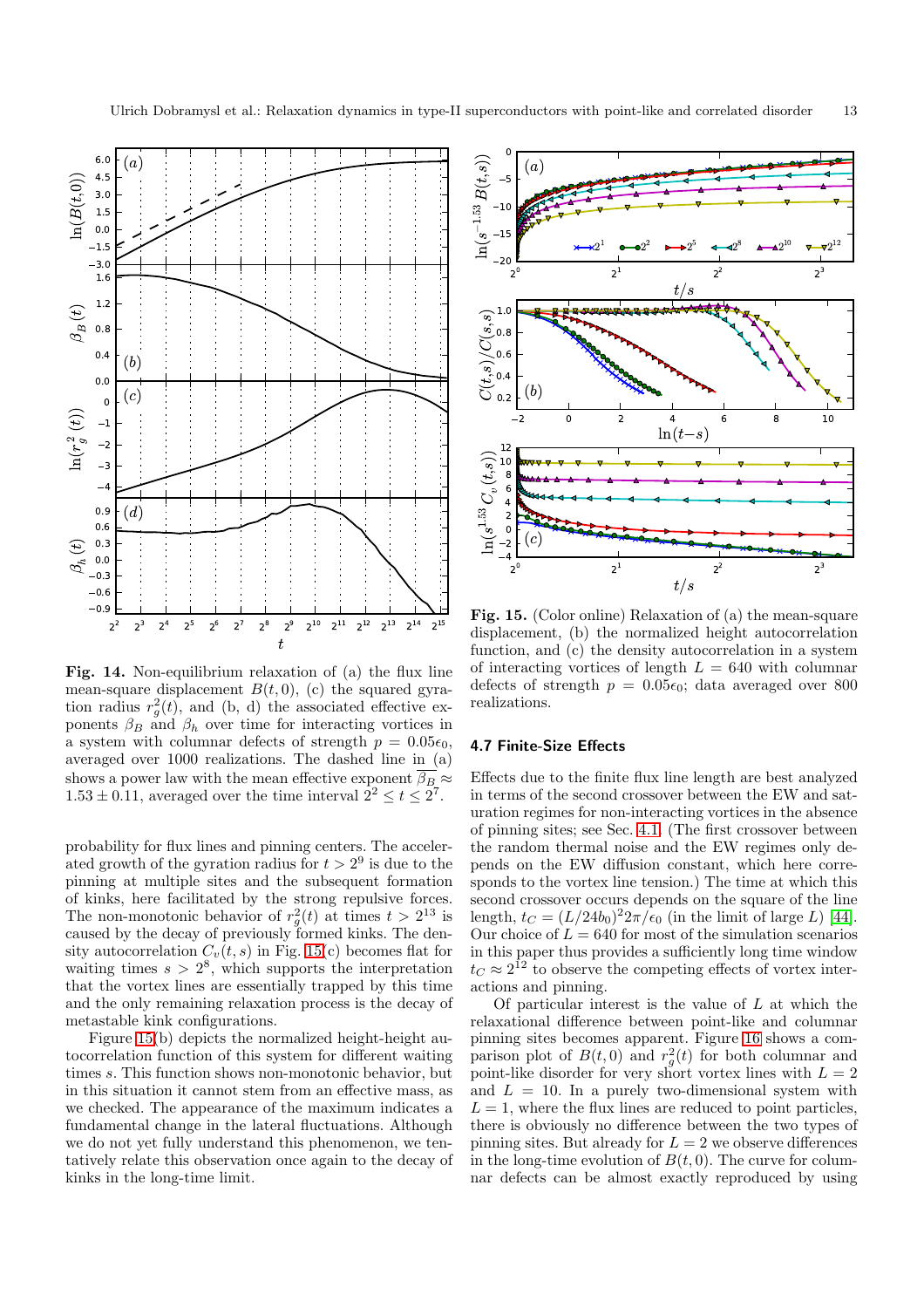

<span id="page-12-0"></span>Fig. 14. Non-equilibrium relaxation of (a) the flux line mean-square displacement  $B(t, 0)$ , (c) the squared gyration radius  $r_g^2(t)$ , and (b, d) the associated effective exponents  $\beta_B$  and  $\beta_h$  over time for interacting vortices in a system with columnar defects of strength  $p = 0.05\epsilon_0$ , averaged over 1000 realizations. The dashed line in (a) shows a power law with the mean effective exponent  $\overline{\beta_B} \approx$  $1.53 \pm 0.11$ , averaged over the time interval  $2^2 \le t \le 2^7$ .

probability for flux lines and pinning centers. The accelerated growth of the gyration radius for  $t > 2^9$  is due to the pinning at multiple sites and the subsequent formation of kinks, here facilitated by the strong repulsive forces. The non-monotonic behavior of  $r_g^2(t)$  at times  $t > 2^{13}$  is caused by the decay of previously formed kinks. The density autocorrelation  $C_v(t, s)$  in Fig. [15\(](#page-12-1)c) becomes flat for waiting times  $s > 2^8$ , which supports the interpretation that the vortex lines are essentially trapped by this time and the only remaining relaxation process is the decay of metastable kink configurations.

Figure [15\(](#page-12-1)b) depicts the normalized height-height autocorrelation function of this system for different waiting times s. This function shows non-monotonic behavior, but in this situation it cannot stem from an effective mass, as we checked. The appearance of the maximum indicates a fundamental change in the lateral fluctuations. Although we do not yet fully understand this phenomenon, we tentatively relate this observation once again to the decay of kinks in the long-time limit.



<span id="page-12-1"></span>Fig. 15. (Color online) Relaxation of (a) the mean-square displacement, (b) the normalized height autocorrelation function, and (c) the density autocorrelation in a system of interacting vortices of length  $L = 640$  with columnar defects of strength  $p = 0.05\epsilon_0$ ; data averaged over 800 realizations.

## 4.7 Finite-Size Effects

Effects due to the finite flux line length are best analyzed in terms of the second crossover between the EW and saturation regimes for non-interacting vortices in the absence of pinning sites; see Sec. [4.1.](#page-5-0) (The first crossover between the random thermal noise and the EW regimes only depends on the EW diffusion constant, which here corresponds to the vortex line tension.) The time at which this second crossover occurs depends on the square of the line length,  $t_C = (L/24b_0)^2 2\pi/\epsilon_0$  (in the limit of large L) [\[44\]](#page-14-41). Our choice of  $L = 640$  for most of the simulation scenarios in this paper thus provides a sufficiently long time window  $t_C \approx 2^{12}$  to observe the competing effects of vortex interactions and pinning.

Of particular interest is the value of L at which the relaxational difference between point-like and columnar pinning sites becomes apparent. Figure [16](#page-13-1) shows a comparison plot of  $B(t, 0)$  and  $r_g^2(t)$  for both columnar and point-like disorder for very short vortex lines with  $L = 2$ and  $L = 10$ . In a purely two-dimensional system with  $L = 1$ , where the flux lines are reduced to point particles, there is obviously no difference between the two types of pinning sites. But already for  $L = 2$  we observe differences in the long-time evolution of  $B(t, 0)$ . The curve for columnar defects can be almost exactly reproduced by using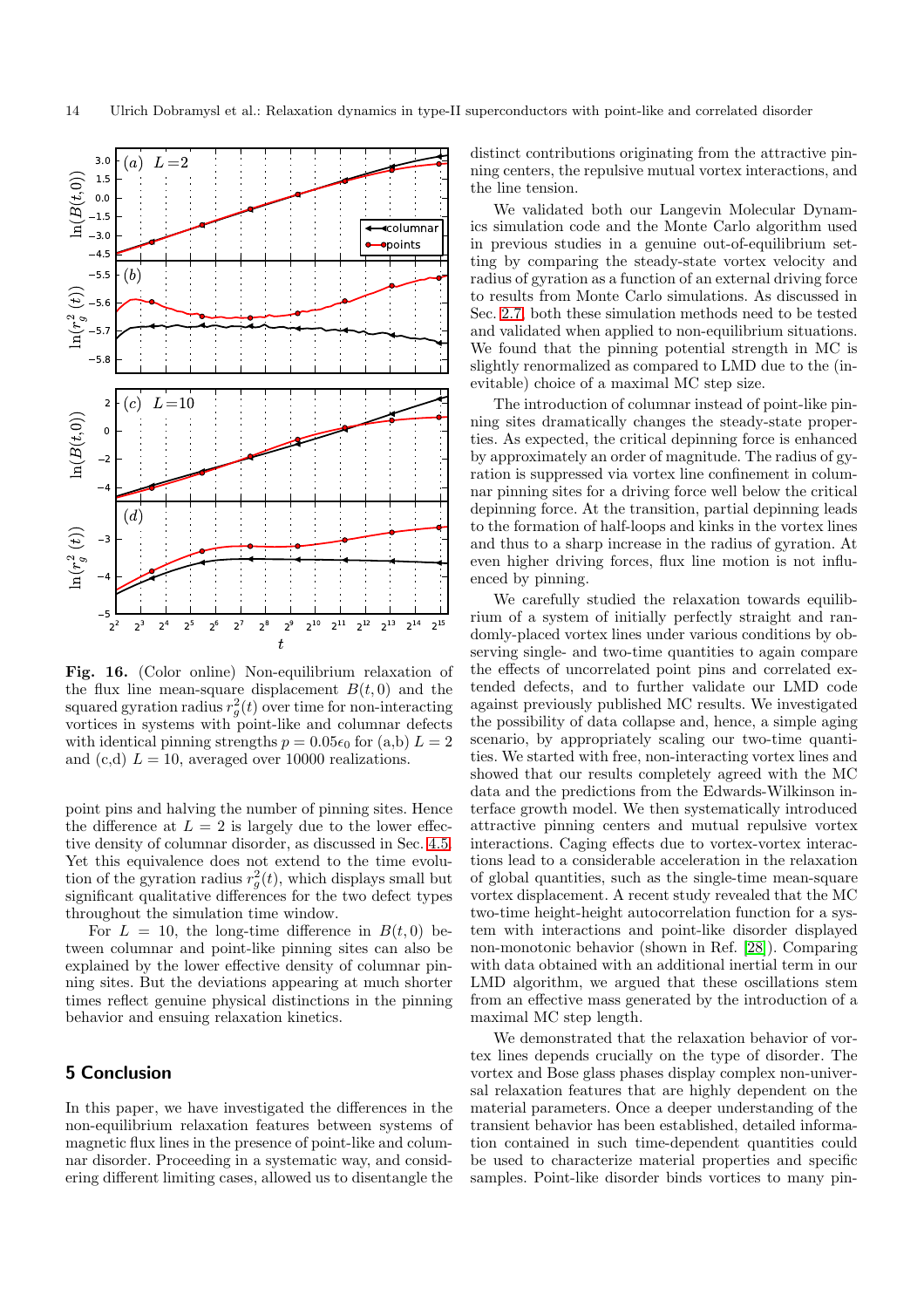

<span id="page-13-1"></span>Fig. 16. (Color online) Non-equilibrium relaxation of the flux line mean-square displacement  $B(t, 0)$  and the squared gyration radius  $r_g^2(t)$  over time for non-interacting vortices in systems with point-like and columnar defects with identical pinning strengths  $p = 0.05\epsilon_0$  for (a,b)  $L = 2$ and (c,d)  $L = 10$ , averaged over 10000 realizations.

point pins and halving the number of pinning sites. Hence the difference at  $L = 2$  is largely due to the lower effective density of columnar disorder, as discussed in Sec. [4.5.](#page-10-2) Yet this equivalence does not extend to the time evolution of the gyration radius  $r_g^2(t)$ , which displays small but significant qualitative differences for the two defect types throughout the simulation time window.

For  $L = 10$ , the long-time difference in  $B(t, 0)$  between columnar and point-like pinning sites can also be explained by the lower effective density of columnar pinning sites. But the deviations appearing at much shorter times reflect genuine physical distinctions in the pinning behavior and ensuing relaxation kinetics.

# <span id="page-13-0"></span>5 Conclusion

In this paper, we have investigated the differences in the non-equilibrium relaxation features between systems of magnetic flux lines in the presence of point-like and columnar disorder. Proceeding in a systematic way, and considering different limiting cases, allowed us to disentangle the

distinct contributions originating from the attractive pinning centers, the repulsive mutual vortex interactions, and the line tension.

We validated both our Langevin Molecular Dynamics simulation code and the Monte Carlo algorithm used in previous studies in a genuine out-of-equilibrium setting by comparing the steady-state vortex velocity and radius of gyration as a function of an external driving force to results from Monte Carlo simulations. As discussed in Sec. [2.7,](#page-3-2) both these simulation methods need to be tested and validated when applied to non-equilibrium situations. We found that the pinning potential strength in MC is slightly renormalized as compared to LMD due to the (inevitable) choice of a maximal MC step size.

The introduction of columnar instead of point-like pinning sites dramatically changes the steady-state properties. As expected, the critical depinning force is enhanced by approximately an order of magnitude. The radius of gyration is suppressed via vortex line confinement in columnar pinning sites for a driving force well below the critical depinning force. At the transition, partial depinning leads to the formation of half-loops and kinks in the vortex lines and thus to a sharp increase in the radius of gyration. At even higher driving forces, flux line motion is not influenced by pinning.

We carefully studied the relaxation towards equilibrium of a system of initially perfectly straight and randomly-placed vortex lines under various conditions by observing single- and two-time quantities to again compare the effects of uncorrelated point pins and correlated extended defects, and to further validate our LMD code against previously published MC results. We investigated the possibility of data collapse and, hence, a simple aging scenario, by appropriately scaling our two-time quantities. We started with free, non-interacting vortex lines and showed that our results completely agreed with the MC data and the predictions from the Edwards-Wilkinson interface growth model. We then systematically introduced attractive pinning centers and mutual repulsive vortex interactions. Caging effects due to vortex-vortex interactions lead to a considerable acceleration in the relaxation of global quantities, such as the single-time mean-square vortex displacement. A recent study revealed that the MC two-time height-height autocorrelation function for a system with interactions and point-like disorder displayed non-monotonic behavior (shown in Ref. [\[28\]](#page-14-27)). Comparing with data obtained with an additional inertial term in our LMD algorithm, we argued that these oscillations stem from an effective mass generated by the introduction of a maximal MC step length.

We demonstrated that the relaxation behavior of vortex lines depends crucially on the type of disorder. The vortex and Bose glass phases display complex non-universal relaxation features that are highly dependent on the material parameters. Once a deeper understanding of the transient behavior has been established, detailed information contained in such time-dependent quantities could be used to characterize material properties and specific samples. Point-like disorder binds vortices to many pin